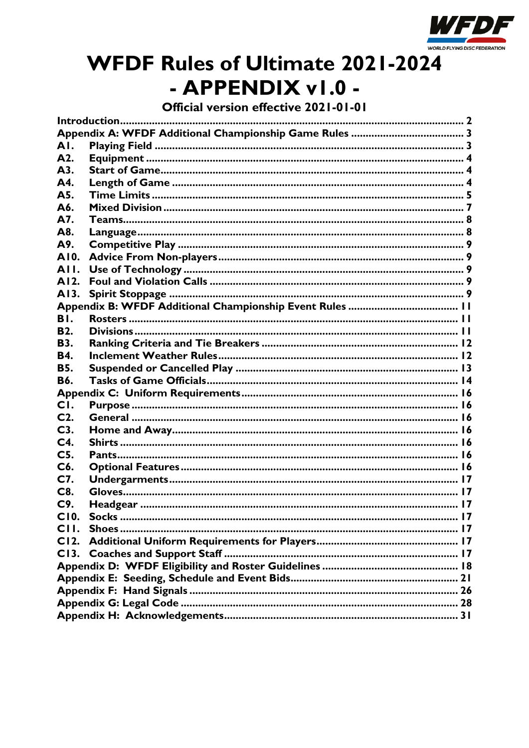

# **WFDF Rules of Ultimate 2021-2024** - APPENDIX v1.0 -

Official version effective 2021-01-01

| AI.            |  |  |  |  |  |
|----------------|--|--|--|--|--|
| A2.            |  |  |  |  |  |
| A3.            |  |  |  |  |  |
| A4.            |  |  |  |  |  |
| A5.            |  |  |  |  |  |
| A6.            |  |  |  |  |  |
| A7.            |  |  |  |  |  |
| A8.            |  |  |  |  |  |
| A9.            |  |  |  |  |  |
| AI0.           |  |  |  |  |  |
| AII.           |  |  |  |  |  |
| AI2.           |  |  |  |  |  |
| AI3.           |  |  |  |  |  |
|                |  |  |  |  |  |
| BI.            |  |  |  |  |  |
| <b>B2.</b>     |  |  |  |  |  |
| <b>B3.</b>     |  |  |  |  |  |
| <b>B4.</b>     |  |  |  |  |  |
| <b>B5.</b>     |  |  |  |  |  |
| <b>B6.</b>     |  |  |  |  |  |
|                |  |  |  |  |  |
| CI.            |  |  |  |  |  |
| $C2$ .         |  |  |  |  |  |
| C3.            |  |  |  |  |  |
| C <sub>4</sub> |  |  |  |  |  |
| C <sub>5</sub> |  |  |  |  |  |
| C6.            |  |  |  |  |  |
| C7.            |  |  |  |  |  |
| C8.            |  |  |  |  |  |
| C9.            |  |  |  |  |  |
| C10            |  |  |  |  |  |
| CII.           |  |  |  |  |  |
|                |  |  |  |  |  |
|                |  |  |  |  |  |
|                |  |  |  |  |  |
|                |  |  |  |  |  |
|                |  |  |  |  |  |
|                |  |  |  |  |  |
|                |  |  |  |  |  |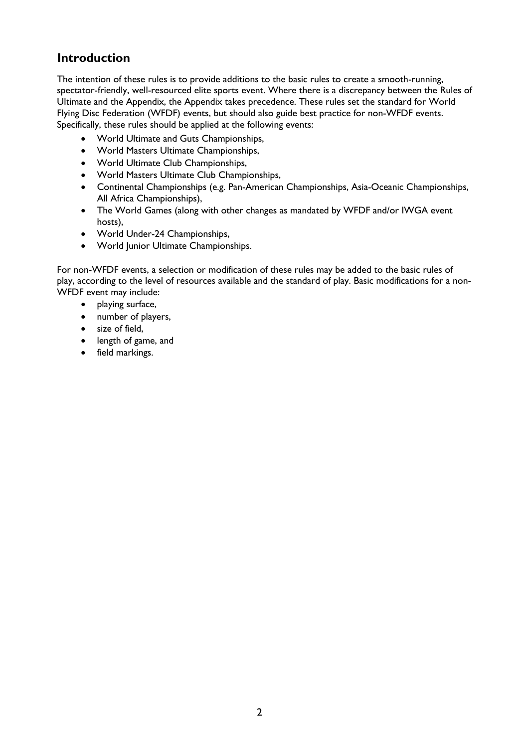# **Introduction**

The intention of these rules is to provide additions to the basic rules to create a smooth-running, spectator-friendly, well-resourced elite sports event. Where there is a discrepancy between the Rules of Ultimate and the Appendix, the Appendix takes precedence. These rules set the standard for World Flying Disc Federation (WFDF) events, but should also guide best practice for non-WFDF events. Specifically, these rules should be applied at the following events:

- World Ultimate and Guts Championships,
- World Masters Ultimate Championships,
- World Ultimate Club Championships,
- World Masters Ultimate Club Championships,
- Continental Championships (e.g. Pan-American Championships, Asia-Oceanic Championships, All Africa Championships),
- The World Games (along with other changes as mandated by WFDF and/or IWGA event hosts),
- World Under-24 Championships,
- World Junior Ultimate Championships.

For non-WFDF events, a selection or modification of these rules may be added to the basic rules of play, according to the level of resources available and the standard of play. Basic modifications for a non-WFDF event may include:

- playing surface,
- number of players,
- size of field,
- length of game, and
- field markings.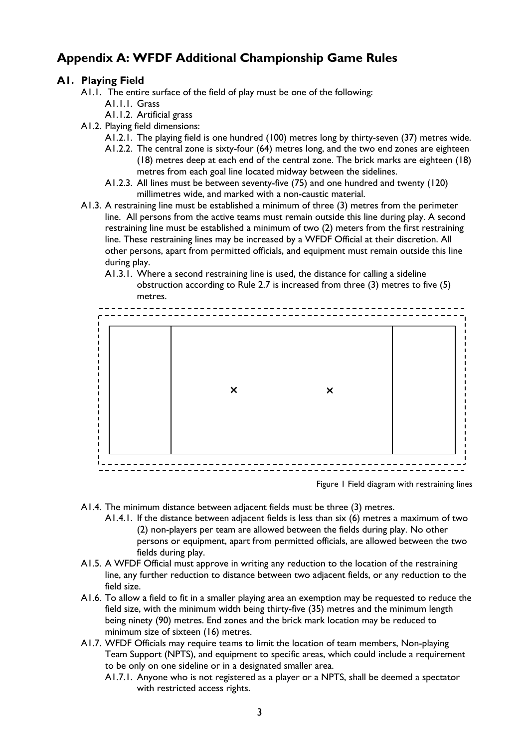# **Appendix A: WFDF Additional Championship Game Rules**

### **A1. Playing Field**

- A1.1. The entire surface of the field of play must be one of the following:
	- A1.1.1. Grass
	- A1.1.2. Artificial grass
- A1.2. Playing field dimensions:
	- A1.2.1. The playing field is one hundred (100) metres long by thirty-seven (37) metres wide.
	- A1.2.2. The central zone is sixty-four (64) metres long, and the two end zones are eighteen (18) metres deep at each end of the central zone. The brick marks are eighteen (18) metres from each goal line located midway between the sidelines.
	- A1.2.3. All lines must be between seventy-five (75) and one hundred and twenty (120) millimetres wide, and marked with a non-caustic material.
- A1.3. A restraining line must be established a minimum of three (3) metres from the perimeter line. All persons from the active teams must remain outside this line during play. A second restraining line must be established a minimum of two (2) meters from the first restraining line. These restraining lines may be increased by a WFDF Official at their discretion. All other persons, apart from permitted officials, and equipment must remain outside this line during play.
	- A1.3.1. Where a second restraining line is used, the distance for calling a sideline obstruction according to Rule 2.7 is increased from three (3) metres to five (5) metres.



Figure 1 Field diagram with restraining lines

- A1.4. The minimum distance between adjacent fields must be three (3) metres.
	- A1.4.1. If the distance between adjacent fields is less than six (6) metres a maximum of two (2) non-players per team are allowed between the fields during play. No other persons or equipment, apart from permitted officials, are allowed between the two fields during play.
- A1.5. A WFDF Official must approve in writing any reduction to the location of the restraining line, any further reduction to distance between two adjacent fields, or any reduction to the field size.
- A1.6. To allow a field to fit in a smaller playing area an exemption may be requested to reduce the field size, with the minimum width being thirty-five (35) metres and the minimum length being ninety (90) metres. End zones and the brick mark location may be reduced to minimum size of sixteen (16) metres.
- A1.7. WFDF Officials may require teams to limit the location of team members, Non-playing Team Support (NPTS), and equipment to specific areas, which could include a requirement to be only on one sideline or in a designated smaller area.
	- A1.7.1. Anyone who is not registered as a player or a NPTS, shall be deemed a spectator with restricted access rights.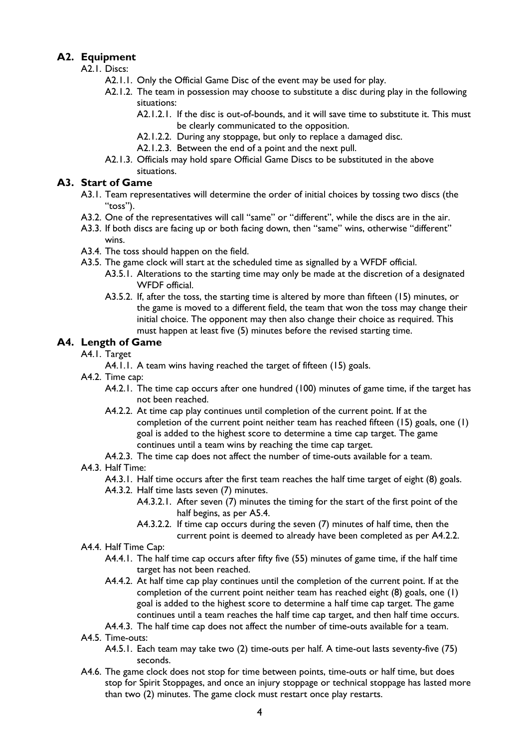### **A2. Equipment**

- A2.1. Discs:
	- A2.1.1. Only the Official Game Disc of the event may be used for play.
	- A2.1.2. The team in possession may choose to substitute a disc during play in the following situations:
		- A2.1.2.1. If the disc is out-of-bounds, and it will save time to substitute it. This must be clearly communicated to the opposition.
		- A2.1.2.2. During any stoppage, but only to replace a damaged disc.
		- A2.1.2.3. Between the end of a point and the next pull.
	- A2.1.3. Officials may hold spare Official Game Discs to be substituted in the above situations.

### **A3. Start of Game**

- A3.1. Team representatives will determine the order of initial choices by tossing two discs (the "toss").
- A3.2. One of the representatives will call "same" or "different", while the discs are in the air.
- A3.3. If both discs are facing up or both facing down, then "same" wins, otherwise "different" wins.
- A3.4. The toss should happen on the field.
- A3.5. The game clock will start at the scheduled time as signalled by a WFDF official.
	- A3.5.1. Alterations to the starting time may only be made at the discretion of a designated WFDF official.
	- A3.5.2. If, after the toss, the starting time is altered by more than fifteen (15) minutes, or the game is moved to a different field, the team that won the toss may change their initial choice. The opponent may then also change their choice as required. This must happen at least five (5) minutes before the revised starting time.

### **A4. Length of Game**

- A4.1. Target
	- A4.1.1. A team wins having reached the target of fifteen (15) goals.
- A4.2. Time cap:
	- A4.2.1. The time cap occurs after one hundred (100) minutes of game time, if the target has not been reached.
	- A4.2.2. At time cap play continues until completion of the current point. If at the completion of the current point neither team has reached fifteen (15) goals, one (1) goal is added to the highest score to determine a time cap target. The game continues until a team wins by reaching the time cap target.
	- A4.2.3. The time cap does not affect the number of time-outs available for a team.
- A4.3. Half Time:
	- A4.3.1. Half time occurs after the first team reaches the half time target of eight (8) goals.
	- A4.3.2. Half time lasts seven (7) minutes.
		- A4.3.2.1. After seven (7) minutes the timing for the start of the first point of the half begins, as per A5.4.
		- A4.3.2.2. If time cap occurs during the seven (7) minutes of half time, then the current point is deemed to already have been completed as per A4.2.2.
- A4.4. Half Time Cap:
	- A4.4.1. The half time cap occurs after fifty five (55) minutes of game time, if the half time target has not been reached.
	- A4.4.2. At half time cap play continues until the completion of the current point. If at the completion of the current point neither team has reached eight (8) goals, one (1) goal is added to the highest score to determine a half time cap target. The game continues until a team reaches the half time cap target, and then half time occurs.

### A4.4.3. The half time cap does not affect the number of time-outs available for a team.

- A4.5. Time-outs:
	- A4.5.1. Each team may take two (2) time-outs per half. A time-out lasts seventy-five (75) seconds.
- A4.6. The game clock does not stop for time between points, time-outs or half time, but does stop for Spirit Stoppages, and once an injury stoppage or technical stoppage has lasted more than two (2) minutes. The game clock must restart once play restarts.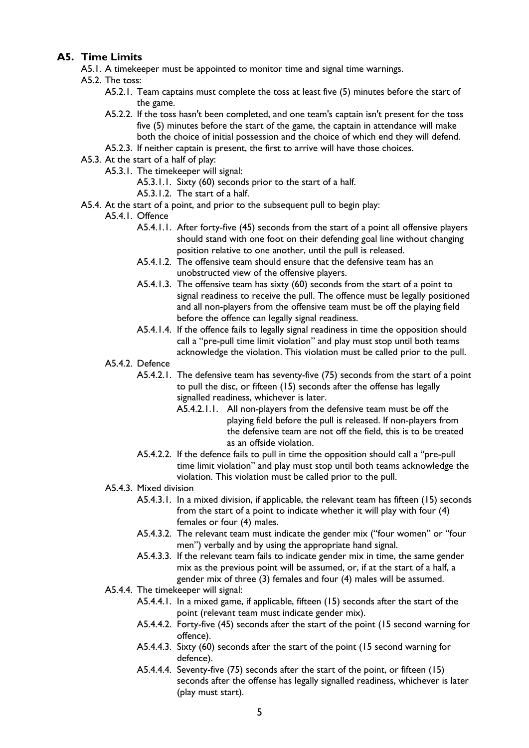### **A5. Time Limits**

- A5.1. A timekeeper must be appointed to monitor time and signal time warnings.
- A5.2. The toss:
	- A5.2.1. Team captains must complete the toss at least five (5) minutes before the start of the game.
	- A5.2.2. If the toss hasn't been completed, and one team's captain isn't present for the toss five (5) minutes before the start of the game, the captain in attendance will make both the choice of initial possession and the choice of which end they will defend.
	- A5.2.3. If neither captain is present, the first to arrive will have those choices.
- A5.3. At the start of a half of play:
	- A5.3.1. The timekeeper will signal:
		- A5.3.1.1. Sixty (60) seconds prior to the start of a half.
		- A5.3.1.2. The start of a half.
- A5.4. At the start of a point, and prior to the subsequent pull to begin play:
	- A5.4.1. Offence
		- A5.4.1.1. After forty-five (45) seconds from the start of a point all offensive players should stand with one foot on their defending goal line without changing position relative to one another, until the pull is released.
		- A5.4.1.2. The offensive team should ensure that the defensive team has an unobstructed view of the offensive players.
		- A5.4.1.3. The offensive team has sixty (60) seconds from the start of a point to signal readiness to receive the pull. The offence must be legally positioned and all non-players from the offensive team must be off the playing field before the offence can legally signal readiness.
		- A5.4.1.4. If the offence fails to legally signal readiness in time the opposition should call a "pre-pull time limit violation" and play must stop until both teams acknowledge the violation. This violation must be called prior to the pull.

### A5.4.2. Defence

- A5.4.2.1. The defensive team has seventy-five (75) seconds from the start of a point to pull the disc, or fifteen (15) seconds after the offense has legally signalled readiness, whichever is later.
	- A5.4.2.1.1. All non-players from the defensive team must be off the playing field before the pull is released. If non-players from the defensive team are not off the field, this is to be treated as an offside violation.
- A5.4.2.2. If the defence fails to pull in time the opposition should call a "pre-pull time limit violation" and play must stop until both teams acknowledge the violation. This violation must be called prior to the pull.
- A5.4.3. Mixed division
	- A5.4.3.1. In a mixed division, if applicable, the relevant team has fifteen (15) seconds from the start of a point to indicate whether it will play with four (4) females or four (4) males.
	- A5.4.3.2. The relevant team must indicate the gender mix ("four women" or "four men") verbally and by using the appropriate hand signal.
	- A5.4.3.3. If the relevant team fails to indicate gender mix in time, the same gender mix as the previous point will be assumed, or, if at the start of a half, a gender mix of three (3) females and four (4) males will be assumed.
- A5.4.4. The timekeeper will signal:
	- A5.4.4.1. In a mixed game, if applicable, fifteen (15) seconds after the start of the point (relevant team must indicate gender mix).
	- A5.4.4.2. Forty-five (45) seconds after the start of the point (15 second warning for offence).
	- A5.4.4.3. Sixty (60) seconds after the start of the point (15 second warning for defence).
	- A5.4.4.4. Seventy-five (75) seconds after the start of the point, or fifteen (15) seconds after the offense has legally signalled readiness, whichever is later (play must start).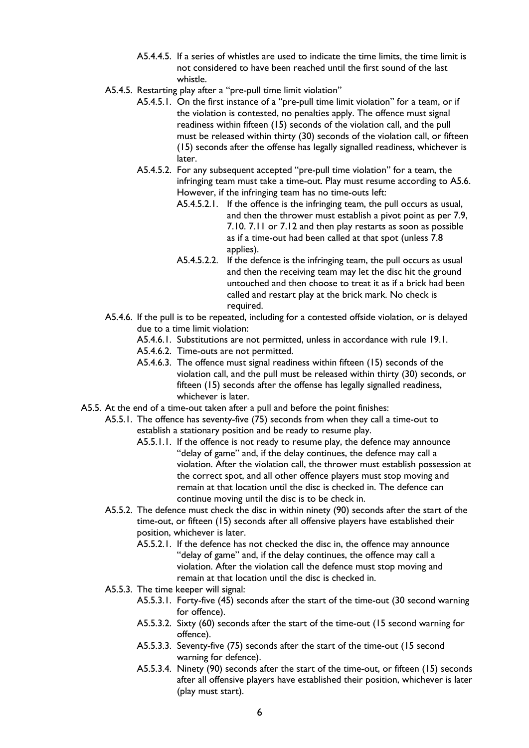- A5.4.4.5. If a series of whistles are used to indicate the time limits, the time limit is not considered to have been reached until the first sound of the last whistle.
- A5.4.5. Restarting play after a "pre-pull time limit violation"
	- A5.4.5.1. On the first instance of a "pre-pull time limit violation" for a team, or if the violation is contested, no penalties apply. The offence must signal readiness within fifteen (15) seconds of the violation call, and the pull must be released within thirty (30) seconds of the violation call, or fifteen (15) seconds after the offense has legally signalled readiness, whichever is later.
	- A5.4.5.2. For any subsequent accepted "pre-pull time violation" for a team, the infringing team must take a time-out. Play must resume according to A5.6. However, if the infringing team has no time-outs left:
		- A5.4.5.2.1. If the offence is the infringing team, the pull occurs as usual, and then the thrower must establish a pivot point as per 7.9, 7.10. 7.11 or 7.12 and then play restarts as soon as possible as if a time-out had been called at that spot (unless 7.8 applies).
		- A5.4.5.2.2. If the defence is the infringing team, the pull occurs as usual and then the receiving team may let the disc hit the ground untouched and then choose to treat it as if a brick had been called and restart play at the brick mark. No check is required.
- A5.4.6. If the pull is to be repeated, including for a contested offside violation, or is delayed due to a time limit violation:
	- A5.4.6.1. Substitutions are not permitted, unless in accordance with rule 19.1.
	- A5.4.6.2. Time-outs are not permitted.
	- A5.4.6.3. The offence must signal readiness within fifteen (15) seconds of the violation call, and the pull must be released within thirty (30) seconds, or fifteen (15) seconds after the offense has legally signalled readiness, whichever is later.
- A5.5. At the end of a time-out taken after a pull and before the point finishes:
	- A5.5.1. The offence has seventy-five (75) seconds from when they call a time-out to establish a stationary position and be ready to resume play.
		- A5.5.1.1. If the offence is not ready to resume play, the defence may announce "delay of game" and, if the delay continues, the defence may call a violation. After the violation call, the thrower must establish possession at the correct spot, and all other offence players must stop moving and remain at that location until the disc is checked in. The defence can continue moving until the disc is to be check in.
	- A5.5.2. The defence must check the disc in within ninety (90) seconds after the start of the time-out, or fifteen (15) seconds after all offensive players have established their position, whichever is later.
		- A5.5.2.1. If the defence has not checked the disc in, the offence may announce "delay of game" and, if the delay continues, the offence may call a violation. After the violation call the defence must stop moving and remain at that location until the disc is checked in.
	- A5.5.3. The time keeper will signal:
		- A5.5.3.1. Forty-five (45) seconds after the start of the time-out (30 second warning for offence).
		- A5.5.3.2. Sixty (60) seconds after the start of the time-out (15 second warning for offence).
		- A5.5.3.3. Seventy-five (75) seconds after the start of the time-out (15 second warning for defence).
		- A5.5.3.4. Ninety (90) seconds after the start of the time-out, or fifteen (15) seconds after all offensive players have established their position, whichever is later (play must start).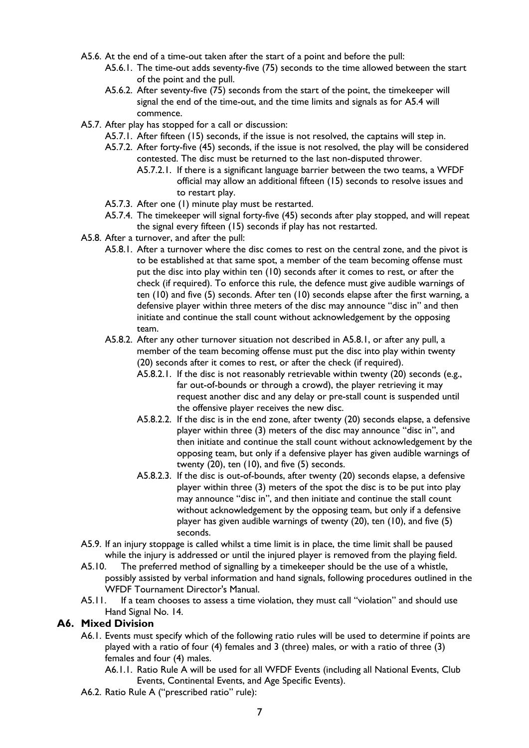- A5.6. At the end of a time-out taken after the start of a point and before the pull:
	- A5.6.1. The time-out adds seventy-five (75) seconds to the time allowed between the start of the point and the pull.
	- A5.6.2. After seventy-five (75) seconds from the start of the point, the timekeeper will signal the end of the time-out, and the time limits and signals as for A5.4 will commence.
- A5.7. After play has stopped for a call or discussion:
	- A5.7.1. After fifteen (15) seconds, if the issue is not resolved, the captains will step in.
	- A5.7.2. After forty-five (45) seconds, if the issue is not resolved, the play will be considered contested. The disc must be returned to the last non-disputed thrower.
		- A5.7.2.1. If there is a significant language barrier between the two teams, a WFDF official may allow an additional fifteen (15) seconds to resolve issues and to restart play.
	- A5.7.3. After one (1) minute play must be restarted.
	- A5.7.4. The timekeeper will signal forty-five (45) seconds after play stopped, and will repeat the signal every fifteen (15) seconds if play has not restarted.
- A5.8. After a turnover, and after the pull:
	- A5.8.1. After a turnover where the disc comes to rest on the central zone, and the pivot is to be established at that same spot, a member of the team becoming offense must put the disc into play within ten (10) seconds after it comes to rest, or after the check (if required). To enforce this rule, the defence must give audible warnings of ten (10) and five (5) seconds. After ten (10) seconds elapse after the first warning, a defensive player within three meters of the disc may announce "disc in" and then initiate and continue the stall count without acknowledgement by the opposing team.
	- A5.8.2. After any other turnover situation not described in A5.8.1, or after any pull, a member of the team becoming offense must put the disc into play within twenty (20) seconds after it comes to rest, or after the check (if required).
		- A5.8.2.1. If the disc is not reasonably retrievable within twenty (20) seconds (e.g., far out-of-bounds or through a crowd), the player retrieving it may request another disc and any delay or pre-stall count is suspended until the offensive player receives the new disc.
		- A5.8.2.2. If the disc is in the end zone, after twenty (20) seconds elapse, a defensive player within three (3) meters of the disc may announce "disc in", and then initiate and continue the stall count without acknowledgement by the opposing team, but only if a defensive player has given audible warnings of twenty (20), ten (10), and five (5) seconds.
		- A5.8.2.3. If the disc is out-of-bounds, after twenty (20) seconds elapse, a defensive player within three (3) meters of the spot the disc is to be put into play may announce "disc in", and then initiate and continue the stall count without acknowledgement by the opposing team, but only if a defensive player has given audible warnings of twenty (20), ten (10), and five (5) seconds.
- A5.9. If an injury stoppage is called whilst a time limit is in place, the time limit shall be paused while the injury is addressed or until the injured player is removed from the playing field.
- A5.10. The preferred method of signalling by a timekeeper should be the use of a whistle, possibly assisted by verbal information and hand signals, following procedures outlined in the WFDF Tournament Director's Manual.
- A5.11. If a team chooses to assess a time violation, they must call "violation" and should use Hand Signal No. 14.

### **A6. Mixed Division**

- A6.1. Events must specify which of the following ratio rules will be used to determine if points are played with a ratio of four (4) females and 3 (three) males, or with a ratio of three (3) females and four (4) males.
	- A6.1.1. Ratio Rule A will be used for all WFDF Events (including all National Events, Club Events, Continental Events, and Age Specific Events).
- A6.2. Ratio Rule A ("prescribed ratio" rule):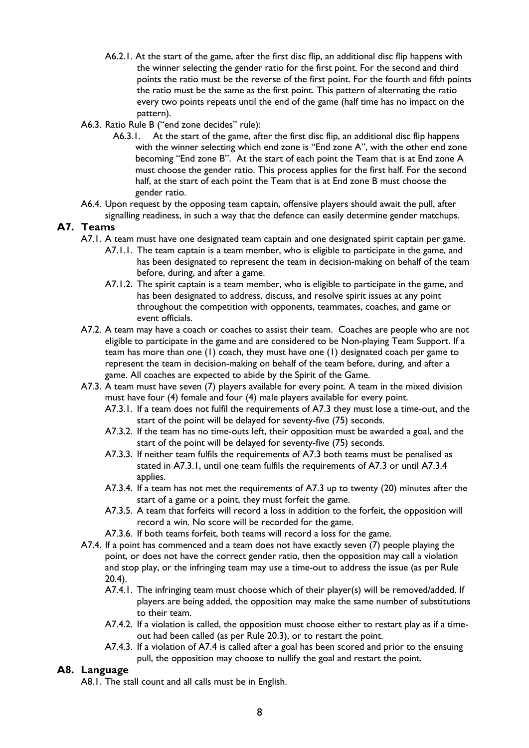- A6.2.1. At the start of the game, after the first disc flip, an additional disc flip happens with the winner selecting the gender ratio for the first point. For the second and third points the ratio must be the reverse of the first point. For the fourth and fifth points the ratio must be the same as the first point. This pattern of alternating the ratio every two points repeats until the end of the game (half time has no impact on the pattern).
- A6.3. Ratio Rule B ("end zone decides" rule):
	- A6.3.1. At the start of the game, after the first disc flip, an additional disc flip happens with the winner selecting which end zone is "End zone A", with the other end zone becoming "End zone B". At the start of each point the Team that is at End zone A must choose the gender ratio. This process applies for the first half. For the second half, at the start of each point the Team that is at End zone B must choose the gender ratio.
- A6.4. Upon request by the opposing team captain, offensive players should await the pull, after signalling readiness, in such a way that the defence can easily determine gender matchups.

### **A7. Teams**

- A7.1. A team must have one designated team captain and one designated spirit captain per game.
	- A7.1.1. The team captain is a team member, who is eligible to participate in the game, and has been designated to represent the team in decision-making on behalf of the team before, during, and after a game.
	- A7.1.2. The spirit captain is a team member, who is eligible to participate in the game, and has been designated to address, discuss, and resolve spirit issues at any point throughout the competition with opponents, teammates, coaches, and game or event officials.
- A7.2. A team may have a coach or coaches to assist their team. Coaches are people who are not eligible to participate in the game and are considered to be Non-playing Team Support. If a team has more than one (1) coach, they must have one (1) designated coach per game to represent the team in decision-making on behalf of the team before, during, and after a game. All coaches are expected to abide by the Spirit of the Game.
- A7.3. A team must have seven (7) players available for every point. A team in the mixed division must have four (4) female and four (4) male players available for every point.
	- A7.3.1. If a team does not fulfil the requirements of A7.3 they must lose a time-out, and the start of the point will be delayed for seventy-five (75) seconds.
	- A7.3.2. If the team has no time-outs left, their opposition must be awarded a goal, and the start of the point will be delayed for seventy-five (75) seconds.
	- A7.3.3. If neither team fulfils the requirements of A7.3 both teams must be penalised as stated in A7.3.1, until one team fulfils the requirements of A7.3 or until A7.3.4 applies.
	- A7.3.4. If a team has not met the requirements of A7.3 up to twenty (20) minutes after the start of a game or a point, they must forfeit the game.
	- A7.3.5. A team that forfeits will record a loss in addition to the forfeit, the opposition will record a win. No score will be recorded for the game.
	- A7.3.6. If both teams forfeit, both teams will record a loss for the game.
- A7.4. If a point has commenced and a team does not have exactly seven (7) people playing the point, or does not have the correct gender ratio, then the opposition may call a violation and stop play, or the infringing team may use a time-out to address the issue (as per Rule 20.4).
	- A7.4.1. The infringing team must choose which of their player(s) will be removed/added. If players are being added, the opposition may make the same number of substitutions to their team.
	- A7.4.2. If a violation is called, the opposition must choose either to restart play as if a timeout had been called (as per Rule 20.3), or to restart the point.
	- A7.4.3. If a violation of A7.4 is called after a goal has been scored and prior to the ensuing pull, the opposition may choose to nullify the goal and restart the point.

### **A8. Language**

A8.1. The stall count and all calls must be in English.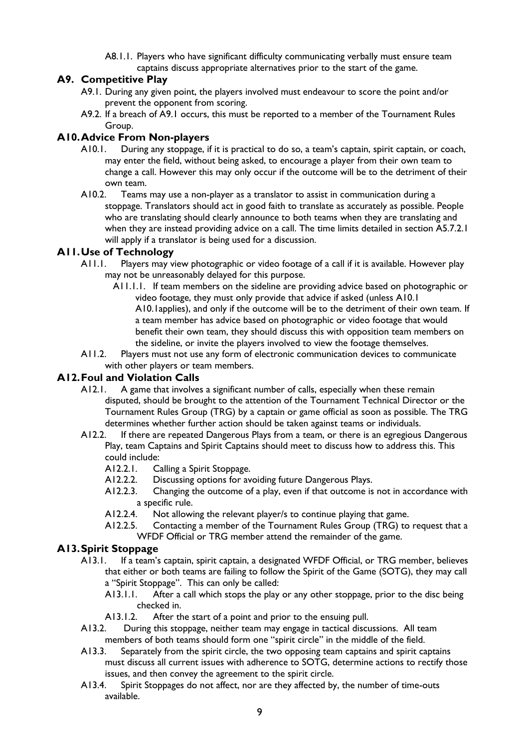A8.1.1. Players who have significant difficulty communicating verbally must ensure team captains discuss appropriate alternatives prior to the start of the game.

### **A9. Competitive Play**

- A9.1. During any given point, the players involved must endeavour to score the point and/or prevent the opponent from scoring.
- A9.2. If a breach of A9.1 occurs, this must be reported to a member of the Tournament Rules Group.

### **A10.Advice From Non-players**

- A10.1. During any stoppage, if it is practical to do so, a team's captain, spirit captain, or coach, may enter the field, without being asked, to encourage a player from their own team to change a call. However this may only occur if the outcome will be to the detriment of their own team.
- A10.2. Teams may use a non-player as a translator to assist in communication during a stoppage. Translators should act in good faith to translate as accurately as possible. People who are translating should clearly announce to both teams when they are translating and when they are instead providing advice on a call. The time limits detailed in section A5.7.2.1 will apply if a translator is being used for a discussion.

### **A11.Use of Technology**

- A11.1. Players may view photographic or video footage of a call if it is available. However play may not be unreasonably delayed for this purpose.
	- A11.1.1. If team members on the sideline are providing advice based on photographic or video footage, they must only provide that advice if asked (unless A10.1 A10.1applies), and only if the outcome will be to the detriment of their own team. If a team member has advice based on photographic or video footage that would benefit their own team, they should discuss this with opposition team members on the sideline, or invite the players involved to view the footage themselves.
- A11.2. Players must not use any form of electronic communication devices to communicate with other players or team members.

### **A12.Foul and Violation Calls**

- A12.1. A game that involves a significant number of calls, especially when these remain disputed, should be brought to the attention of the Tournament Technical Director or the Tournament Rules Group (TRG) by a captain or game official as soon as possible. The TRG determines whether further action should be taken against teams or individuals.
- A12.2. If there are repeated Dangerous Plays from a team, or there is an egregious Dangerous Play, team Captains and Spirit Captains should meet to discuss how to address this. This could include:
	- A12.2.1. Calling a Spirit Stoppage.
	- A12.2.2. Discussing options for avoiding future Dangerous Plays.
	- A12.2.3. Changing the outcome of a play, even if that outcome is not in accordance with a specific rule.
	- A12.2.4. Not allowing the relevant player/s to continue playing that game.
	- A12.2.5. Contacting a member of the Tournament Rules Group (TRG) to request that a WFDF Official or TRG member attend the remainder of the game.

## **A13.Spirit Stoppage**

- A13.1. If a team's captain, spirit captain, a designated WFDF Official, or TRG member, believes that either or both teams are failing to follow the Spirit of the Game (SOTG), they may call a "Spirit Stoppage". This can only be called:
	- A13.1.1. After a call which stops the play or any other stoppage, prior to the disc being checked in.
	- A13.1.2. After the start of a point and prior to the ensuing pull.
- A13.2. During this stoppage, neither team may engage in tactical discussions. All team members of both teams should form one "spirit circle" in the middle of the field.
- A13.3. Separately from the spirit circle, the two opposing team captains and spirit captains must discuss all current issues with adherence to SOTG, determine actions to rectify those issues, and then convey the agreement to the spirit circle.
- A13.4. Spirit Stoppages do not affect, nor are they affected by, the number of time-outs available.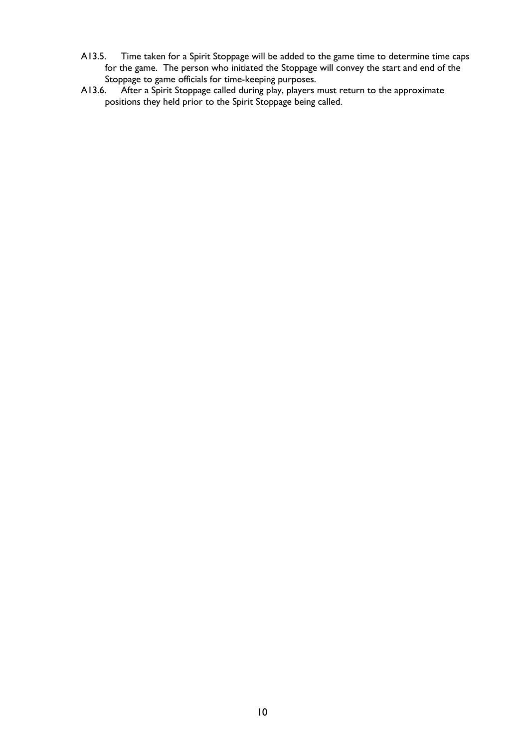- A13.5. Time taken for a Spirit Stoppage will be added to the game time to determine time caps for the game. The person who initiated the Stoppage will convey the start and end of the Stoppage to game officials for time-keeping purposes.
- A13.6. After a Spirit Stoppage called during play, players must return to the approximate positions they held prior to the Spirit Stoppage being called.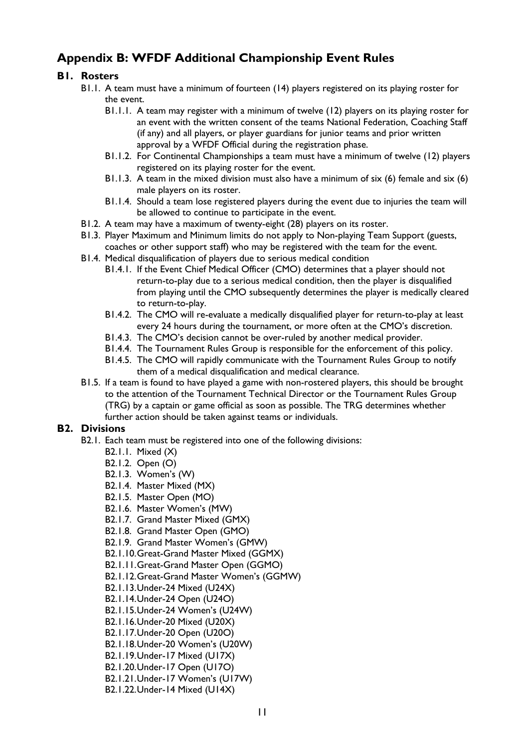# **Appendix B: WFDF Additional Championship Event Rules**

### **B1. Rosters**

- B1.1. A team must have a minimum of fourteen (14) players registered on its playing roster for the event.
	- B1.1.1. A team may register with a minimum of twelve (12) players on its playing roster for an event with the written consent of the teams National Federation, Coaching Staff (if any) and all players, or player guardians for junior teams and prior written approval by a WFDF Official during the registration phase.
	- B1.1.2. For Continental Championships a team must have a minimum of twelve (12) players registered on its playing roster for the event.
	- B1.1.3. A team in the mixed division must also have a minimum of six (6) female and six (6) male players on its roster.
	- B1.1.4. Should a team lose registered players during the event due to injuries the team will be allowed to continue to participate in the event.
- B1.2. A team may have a maximum of twenty-eight (28) players on its roster.
- B1.3. Player Maximum and Minimum limits do not apply to Non-playing Team Support (guests, coaches or other support staff) who may be registered with the team for the event.
- B1.4. Medical disqualification of players due to serious medical condition
	- B1.4.1. If the Event Chief Medical Officer (CMO) determines that a player should not return-to-play due to a serious medical condition, then the player is disqualified from playing until the CMO subsequently determines the player is medically cleared to return-to-play.
	- B1.4.2. The CMO will re-evaluate a medically disqualified player for return-to-play at least every 24 hours during the tournament, or more often at the CMO's discretion.
	- B1.4.3. The CMO's decision cannot be over-ruled by another medical provider.
	- B1.4.4. The Tournament Rules Group is responsible for the enforcement of this policy.
	- B1.4.5. The CMO will rapidly communicate with the Tournament Rules Group to notify them of a medical disqualification and medical clearance.
- B1.5. If a team is found to have played a game with non-rostered players, this should be brought to the attention of the Tournament Technical Director or the Tournament Rules Group (TRG) by a captain or game official as soon as possible. The TRG determines whether further action should be taken against teams or individuals.

### **B2. Divisions**

- B2.1. Each team must be registered into one of the following divisions:
	- B2.1.1. Mixed (X)
	- B2.1.2. Open (O)
	- B2.1.3. Women's (W)
	- B2.1.4. Master Mixed (MX)
	- B2.1.5. Master Open (MO)
	- B2.1.6. Master Women's (MW)
	- B2.1.7. Grand Master Mixed (GMX)
	- B2.1.8. Grand Master Open (GMO)
	- B2.1.9. Grand Master Women's (GMW)
	- B2.1.10.Great-Grand Master Mixed (GGMX)
	- B2.1.11.Great-Grand Master Open (GGMO)
	- B2.1.12.Great-Grand Master Women's (GGMW)
	- B2.1.13.Under-24 Mixed (U24X)
	- B2.1.14.Under-24 Open (U24O)
	- B2.1.15.Under-24 Women's (U24W)
	- B2.1.16.Under-20 Mixed (U20X)
	- B2.1.17.Under-20 Open (U20O)
	- B2.1.18.Under-20 Women's (U20W)
	- B2.1.19.Under-17 Mixed (U17X)
	- B2.1.20.Under-17 Open (U17O)
	- B2.1.21.Under-17 Women's (U17W)
	- B2.1.22.Under-14 Mixed (U14X)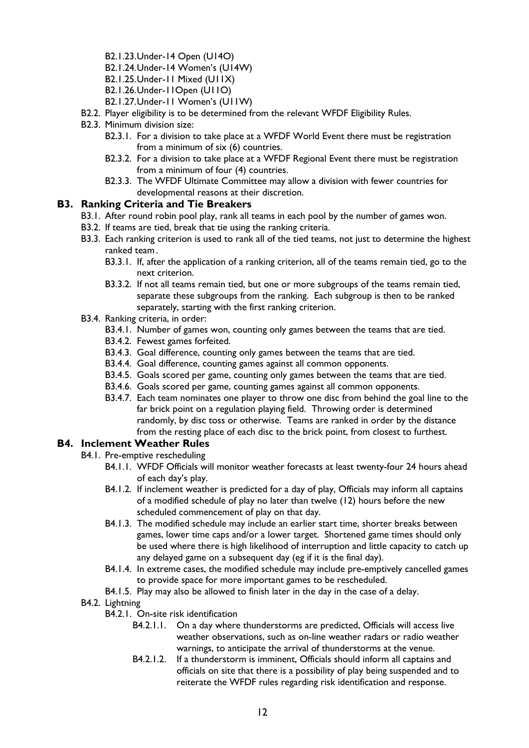- B2.1.23.Under-14 Open (U14O)
- B2.1.24.Under-14 Women's (U14W)
- B2.1.25.Under-11 Mixed (U11X)
- B2.1.26.Under-11Open (U11O)
- B2.1.27.Under-11 Women's (U11W)
- B2.2. Player eligibility is to be determined from the relevant WFDF Eligibility Rules.
- B2.3. Minimum division size:
	- B2.3.1. For a division to take place at a WFDF World Event there must be registration from a minimum of six (6) countries.
	- B2.3.2. For a division to take place at a WFDF Regional Event there must be registration from a minimum of four (4) countries.
	- B2.3.3. The WFDF Ultimate Committee may allow a division with fewer countries for developmental reasons at their discretion.

### **B3. Ranking Criteria and Tie Breakers**

- B3.1. After round robin pool play, rank all teams in each pool by the number of games won.
- B3.2. If teams are tied, break that tie using the ranking criteria.
- B3.3. Each ranking criterion is used to rank all of the tied teams, not just to determine the highest ranked team.
	- B3.3.1. If, after the application of a ranking criterion, all of the teams remain tied, go to the next criterion.
	- B3.3.2. If not all teams remain tied, but one or more subgroups of the teams remain tied, separate these subgroups from the ranking. Each subgroup is then to be ranked separately, starting with the first ranking criterion.
- B3.4. Ranking criteria, in order:
	- B3.4.1. Number of games won, counting only games between the teams that are tied.
	- B3.4.2. Fewest games forfeited.
	- B3.4.3. Goal difference, counting only games between the teams that are tied.
	- B3.4.4. Goal difference, counting games against all common opponents.
	- B3.4.5. Goals scored per game, counting only games between the teams that are tied.
	- B3.4.6. Goals scored per game, counting games against all common opponents.
	- B3.4.7. Each team nominates one player to throw one disc from behind the goal line to the far brick point on a regulation playing field. Throwing order is determined randomly, by disc toss or otherwise. Teams are ranked in order by the distance from the resting place of each disc to the brick point, from closest to furthest.

### **B4. Inclement Weather Rules**

- B4.1. Pre-emptive rescheduling
	- B4.1.1. WFDF Officials will monitor weather forecasts at least twenty-four 24 hours ahead of each day's play.
	- B4.1.2. If inclement weather is predicted for a day of play, Officials may inform all captains of a modified schedule of play no later than twelve (12) hours before the new scheduled commencement of play on that day.
	- B4.1.3. The modified schedule may include an earlier start time, shorter breaks between games, lower time caps and/or a lower target. Shortened game times should only be used where there is high likelihood of interruption and little capacity to catch up any delayed game on a subsequent day (eg if it is the final day).
	- B4.1.4. In extreme cases, the modified schedule may include pre-emptively cancelled games to provide space for more important games to be rescheduled.
	- B4.1.5. Play may also be allowed to finish later in the day in the case of a delay.
- B4.2. Lightning
	- B4.2.1. On-site risk identification
		- B4.2.1.1. On a day where thunderstorms are predicted, Officials will access live weather observations, such as on-line weather radars or radio weather warnings, to anticipate the arrival of thunderstorms at the venue.
		- B4.2.1.2. If a thunderstorm is imminent, Officials should inform all captains and officials on site that there is a possibility of play being suspended and to reiterate the WFDF rules regarding risk identification and response.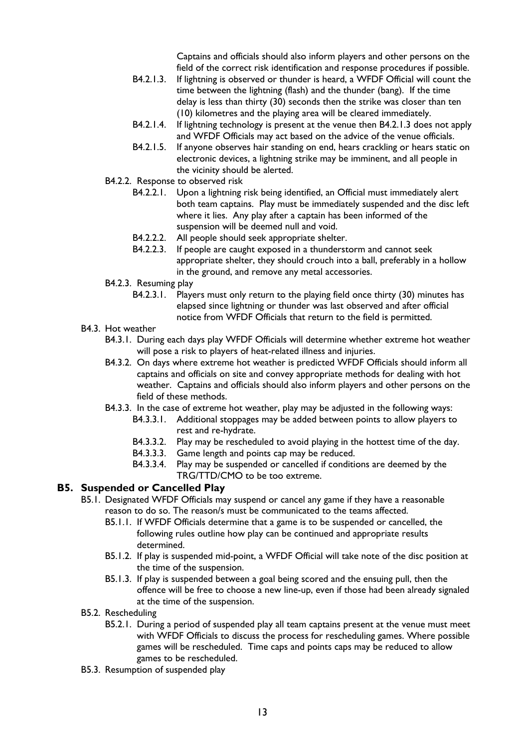Captains and officials should also inform players and other persons on the field of the correct risk identification and response procedures if possible.

- B4.2.1.3. If lightning is observed or thunder is heard, a WFDF Official will count the time between the lightning (flash) and the thunder (bang). If the time delay is less than thirty (30) seconds then the strike was closer than ten (10) kilometres and the playing area will be cleared immediately.
- B4.2.1.4. If lightning technology is present at the venue then B4.2.1.3 does not apply and WFDF Officials may act based on the advice of the venue officials.
- B4.2.1.5. If anyone observes hair standing on end, hears crackling or hears static on electronic devices, a lightning strike may be imminent, and all people in the vicinity should be alerted.
- B4.2.2. Response to observed risk
	- B4.2.2.1. Upon a lightning risk being identified, an Official must immediately alert both team captains. Play must be immediately suspended and the disc left where it lies. Any play after a captain has been informed of the suspension will be deemed null and void.
	- B4.2.2.2. All people should seek appropriate shelter.
	- B4.2.2.3. If people are caught exposed in a thunderstorm and cannot seek appropriate shelter, they should crouch into a ball, preferably in a hollow in the ground, and remove any metal accessories.
- B4.2.3. Resuming play
	- B4.2.3.1. Players must only return to the playing field once thirty (30) minutes has elapsed since lightning or thunder was last observed and after official notice from WFDF Officials that return to the field is permitted.
- B4.3. Hot weather
	- B4.3.1. During each days play WFDF Officials will determine whether extreme hot weather will pose a risk to players of heat-related illness and injuries.
	- B4.3.2. On days where extreme hot weather is predicted WFDF Officials should inform all captains and officials on site and convey appropriate methods for dealing with hot weather. Captains and officials should also inform players and other persons on the field of these methods.
	- B4.3.3. In the case of extreme hot weather, play may be adjusted in the following ways:
		- B4.3.3.1. Additional stoppages may be added between points to allow players to rest and re-hydrate.
		- B4.3.3.2. Play may be rescheduled to avoid playing in the hottest time of the day.
		- B4.3.3.3. Game length and points cap may be reduced.
		- B4.3.3.4. Play may be suspended or cancelled if conditions are deemed by the TRG/TTD/CMO to be too extreme.

### **B5. Suspended or Cancelled Play**

- B5.1. Designated WFDF Officials may suspend or cancel any game if they have a reasonable reason to do so. The reason/s must be communicated to the teams affected.
	- B5.1.1. If WFDF Officials determine that a game is to be suspended or cancelled, the following rules outline how play can be continued and appropriate results determined.
	- B5.1.2. If play is suspended mid-point, a WFDF Official will take note of the disc position at the time of the suspension.
	- B5.1.3. If play is suspended between a goal being scored and the ensuing pull, then the offence will be free to choose a new line-up, even if those had been already signaled at the time of the suspension.
- B5.2. Rescheduling
	- B5.2.1. During a period of suspended play all team captains present at the venue must meet with WFDF Officials to discuss the process for rescheduling games. Where possible games will be rescheduled. Time caps and points caps may be reduced to allow games to be rescheduled.
- B5.3. Resumption of suspended play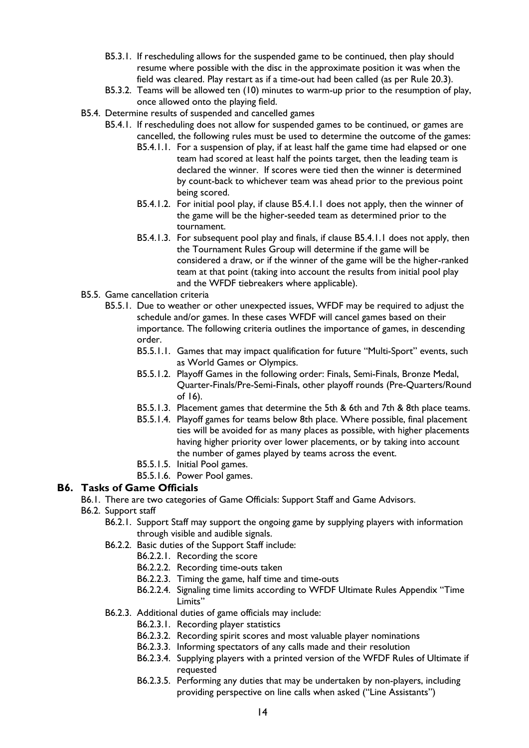- B5.3.1. If rescheduling allows for the suspended game to be continued, then play should resume where possible with the disc in the approximate position it was when the field was cleared. Play restart as if a time-out had been called (as per Rule 20.3).
- B5.3.2. Teams will be allowed ten (10) minutes to warm-up prior to the resumption of play, once allowed onto the playing field.
- B5.4. Determine results of suspended and cancelled games
	- B5.4.1. If rescheduling does not allow for suspended games to be continued, or games are cancelled, the following rules must be used to determine the outcome of the games:
		- B5.4.1.1. For a suspension of play, if at least half the game time had elapsed or one team had scored at least half the points target, then the leading team is declared the winner. If scores were tied then the winner is determined by count-back to whichever team was ahead prior to the previous point being scored.
		- B5.4.1.2. For initial pool play, if clause B5.4.1.1 does not apply, then the winner of the game will be the higher-seeded team as determined prior to the tournament.
		- B5.4.1.3. For subsequent pool play and finals, if clause B5.4.1.1 does not apply, then the Tournament Rules Group will determine if the game will be considered a draw, or if the winner of the game will be the higher-ranked team at that point (taking into account the results from initial pool play and the WFDF tiebreakers where applicable).
- B5.5. Game cancellation criteria
	- B5.5.1. Due to weather or other unexpected issues, WFDF may be required to adjust the schedule and/or games. In these cases WFDF will cancel games based on their importance. The following criteria outlines the importance of games, in descending order.
		- B5.5.1.1. Games that may impact qualification for future "Multi-Sport" events, such as World Games or Olympics.
		- B5.5.1.2. Playoff Games in the following order: Finals, Semi-Finals, Bronze Medal, Quarter-Finals/Pre-Semi-Finals, other playoff rounds (Pre-Quarters/Round of 16).
		- B5.5.1.3. Placement games that determine the 5th & 6th and 7th & 8th place teams.
		- B5.5.1.4. Playoff games for teams below 8th place. Where possible, final placement ties will be avoided for as many places as possible, with higher placements having higher priority over lower placements, or by taking into account the number of games played by teams across the event.
		- B5.5.1.5. Initial Pool games.
		- B5.5.1.6. Power Pool games.

### **B6. Tasks of Game Officials**

- B6.1. There are two categories of Game Officials: Support Staff and Game Advisors.
- B6.2. Support staff
	- B6.2.1. Support Staff may support the ongoing game by supplying players with information through visible and audible signals.
	- B6.2.2. Basic duties of the Support Staff include:
		- B6.2.2.1. Recording the score
		- B6.2.2.2. Recording time-outs taken
		- B6.2.2.3. Timing the game, half time and time-outs
		- B6.2.2.4. Signaling time limits according to WFDF Ultimate Rules Appendix "Time Limits"
	- B6.2.3. Additional duties of game officials may include:
		- B6.2.3.1. Recording player statistics
		- B6.2.3.2. Recording spirit scores and most valuable player nominations
		- B6.2.3.3. Informing spectators of any calls made and their resolution
		- B6.2.3.4. Supplying players with a printed version of the WFDF Rules of Ultimate if requested
		- B6.2.3.5. Performing any duties that may be undertaken by non-players, including providing perspective on line calls when asked ("Line Assistants")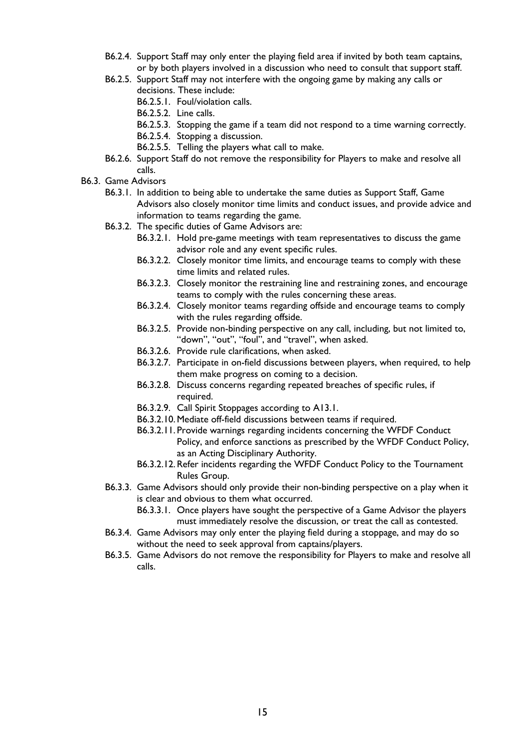- B6.2.4. Support Staff may only enter the playing field area if invited by both team captains, or by both players involved in a discussion who need to consult that support staff.
- B6.2.5. Support Staff may not interfere with the ongoing game by making any calls or decisions. These include:
	- B6.2.5.1. Foul/violation calls.
	- B6.2.5.2. Line calls.
	- B6.2.5.3. Stopping the game if a team did not respond to a time warning correctly.
	- B6.2.5.4. Stopping a discussion.
	- B6.2.5.5. Telling the players what call to make.
- B6.2.6. Support Staff do not remove the responsibility for Players to make and resolve all calls.
- B6.3. Game Advisors
	- B6.3.1. In addition to being able to undertake the same duties as Support Staff, Game Advisors also closely monitor time limits and conduct issues, and provide advice and information to teams regarding the game.
	- B6.3.2. The specific duties of Game Advisors are:
		- B6.3.2.1. Hold pre-game meetings with team representatives to discuss the game advisor role and any event specific rules.
		- B6.3.2.2. Closely monitor time limits, and encourage teams to comply with these time limits and related rules.
		- B6.3.2.3. Closely monitor the restraining line and restraining zones, and encourage teams to comply with the rules concerning these areas.
		- B6.3.2.4. Closely monitor teams regarding offside and encourage teams to comply with the rules regarding offside.
		- B6.3.2.5. Provide non-binding perspective on any call, including, but not limited to, "down", "out", "foul", and "travel", when asked.
		- B6.3.2.6. Provide rule clarifications, when asked.
		- B6.3.2.7. Participate in on-field discussions between players, when required, to help them make progress on coming to a decision.
		- B6.3.2.8. Discuss concerns regarding repeated breaches of specific rules, if required.
		- B6.3.2.9. Call Spirit Stoppages according to A13.1.
		- B6.3.2.10.Mediate off-field discussions between teams if required.
		- B6.3.2.11. Provide warnings regarding incidents concerning the WFDF Conduct Policy, and enforce sanctions as prescribed by the WFDF Conduct Policy, as an Acting Disciplinary Authority.
		- B6.3.2.12.Refer incidents regarding the WFDF Conduct Policy to the Tournament Rules Group.
	- B6.3.3. Game Advisors should only provide their non-binding perspective on a play when it is clear and obvious to them what occurred.
		- B6.3.3.1. Once players have sought the perspective of a Game Advisor the players must immediately resolve the discussion, or treat the call as contested.
	- B6.3.4. Game Advisors may only enter the playing field during a stoppage, and may do so without the need to seek approval from captains/players.
	- B6.3.5. Game Advisors do not remove the responsibility for Players to make and resolve all calls.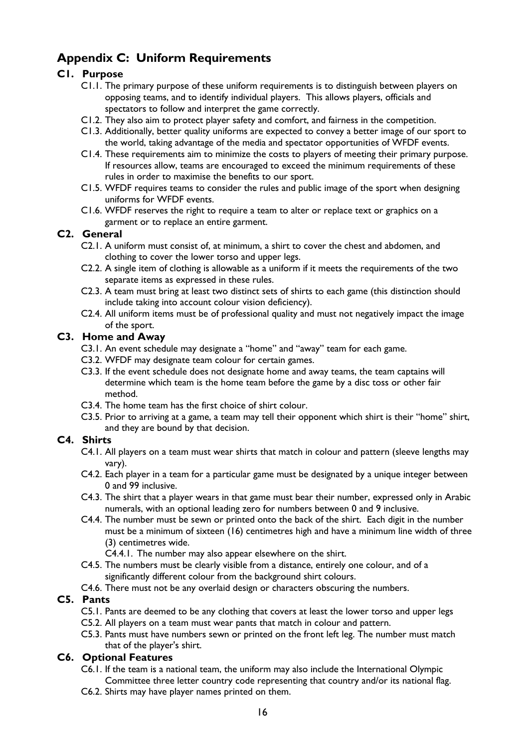# **Appendix C: Uniform Requirements**

### **C1. Purpose**

- C1.1. The primary purpose of these uniform requirements is to distinguish between players on opposing teams, and to identify individual players. This allows players, officials and spectators to follow and interpret the game correctly.
- C1.2. They also aim to protect player safety and comfort, and fairness in the competition.
- C1.3. Additionally, better quality uniforms are expected to convey a better image of our sport to the world, taking advantage of the media and spectator opportunities of WFDF events.
- C1.4. These requirements aim to minimize the costs to players of meeting their primary purpose. If resources allow, teams are encouraged to exceed the minimum requirements of these rules in order to maximise the benefits to our sport.
- C1.5. WFDF requires teams to consider the rules and public image of the sport when designing uniforms for WFDF events.
- C1.6. WFDF reserves the right to require a team to alter or replace text or graphics on a garment or to replace an entire garment.

### **C2. General**

- C2.1. A uniform must consist of, at minimum, a shirt to cover the chest and abdomen, and clothing to cover the lower torso and upper legs.
- C2.2. A single item of clothing is allowable as a uniform if it meets the requirements of the two separate items as expressed in these rules.
- C2.3. A team must bring at least two distinct sets of shirts to each game (this distinction should include taking into account colour vision deficiency).
- C2.4. All uniform items must be of professional quality and must not negatively impact the image of the sport.

### **C3. Home and Away**

- C3.1. An event schedule may designate a "home" and "away" team for each game.
- C3.2. WFDF may designate team colour for certain games.
- C3.3. If the event schedule does not designate home and away teams, the team captains will determine which team is the home team before the game by a disc toss or other fair method.
- C3.4. The home team has the first choice of shirt colour.
- C3.5. Prior to arriving at a game, a team may tell their opponent which shirt is their "home" shirt, and they are bound by that decision.

### **C4. Shirts**

- C4.1. All players on a team must wear shirts that match in colour and pattern (sleeve lengths may vary).
- C4.2. Each player in a team for a particular game must be designated by a unique integer between 0 and 99 inclusive.
- C4.3. The shirt that a player wears in that game must bear their number, expressed only in Arabic numerals, with an optional leading zero for numbers between 0 and 9 inclusive.
- C4.4. The number must be sewn or printed onto the back of the shirt. Each digit in the number must be a minimum of sixteen (16) centimetres high and have a minimum line width of three (3) centimetres wide.

C4.4.1. The number may also appear elsewhere on the shirt.

- C4.5. The numbers must be clearly visible from a distance, entirely one colour, and of a significantly different colour from the background shirt colours.
- C4.6. There must not be any overlaid design or characters obscuring the numbers.

## **C5. Pants**

- C5.1. Pants are deemed to be any clothing that covers at least the lower torso and upper legs
- C5.2. All players on a team must wear pants that match in colour and pattern.
- C5.3. Pants must have numbers sewn or printed on the front left leg. The number must match that of the player's shirt.

### **C6. Optional Features**

- C6.1. If the team is a national team, the uniform may also include the International Olympic Committee three letter country code representing that country and/or its national flag.
- C6.2. Shirts may have player names printed on them.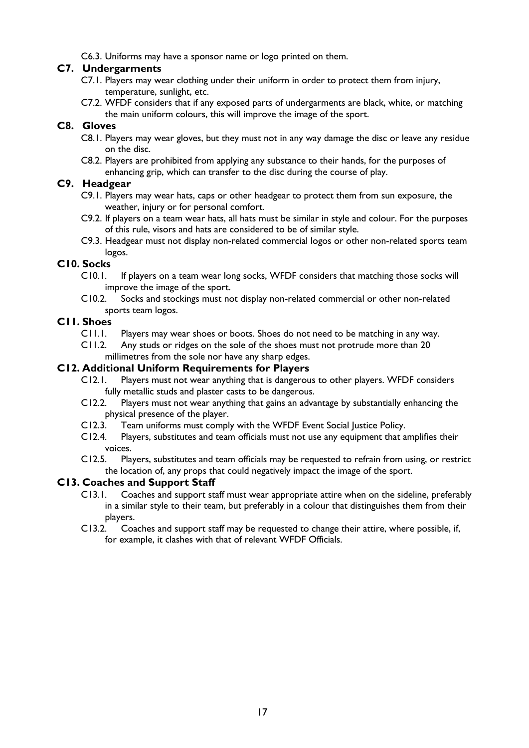C6.3. Uniforms may have a sponsor name or logo printed on them.

### **C7. Undergarments**

- C7.1. Players may wear clothing under their uniform in order to protect them from injury, temperature, sunlight, etc.
- C7.2. WFDF considers that if any exposed parts of undergarments are black, white, or matching the main uniform colours, this will improve the image of the sport.

### **C8. Gloves**

- C8.1. Players may wear gloves, but they must not in any way damage the disc or leave any residue on the disc.
- C8.2. Players are prohibited from applying any substance to their hands, for the purposes of enhancing grip, which can transfer to the disc during the course of play.

### **C9. Headgear**

- C9.1. Players may wear hats, caps or other headgear to protect them from sun exposure, the weather, injury or for personal comfort.
- C9.2. If players on a team wear hats, all hats must be similar in style and colour. For the purposes of this rule, visors and hats are considered to be of similar style.
- C9.3. Headgear must not display non-related commercial logos or other non-related sports team logos.

### **C10. Socks**

- C10.1. If players on a team wear long socks, WFDF considers that matching those socks will improve the image of the sport.
- C10.2. Socks and stockings must not display non-related commercial or other non-related sports team logos.

### **C11. Shoes**

- C11.1. Players may wear shoes or boots. Shoes do not need to be matching in any way.
- C11.2. Any studs or ridges on the sole of the shoes must not protrude more than 20 millimetres from the sole nor have any sharp edges.

### **C12. Additional Uniform Requirements for Players**

- C12.1. Players must not wear anything that is dangerous to other players. WFDF considers fully metallic studs and plaster casts to be dangerous.
- C12.2. Players must not wear anything that gains an advantage by substantially enhancing the physical presence of the player.
- C12.3. Team uniforms must comply with the WFDF Event Social Justice Policy.
- C12.4. Players, substitutes and team officials must not use any equipment that amplifies their voices.
- C12.5. Players, substitutes and team officials may be requested to refrain from using, or restrict the location of, any props that could negatively impact the image of the sport.

### **C13. Coaches and Support Staff**

- C13.1. Coaches and support staff must wear appropriate attire when on the sideline, preferably in a similar style to their team, but preferably in a colour that distinguishes them from their players.
- C13.2. Coaches and support staff may be requested to change their attire, where possible, if, for example, it clashes with that of relevant WFDF Officials.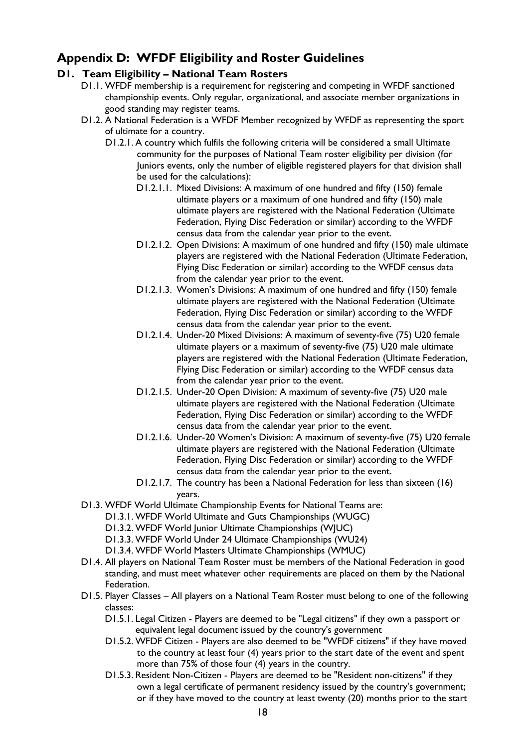# **Appendix D: WFDF Eligibility and Roster Guidelines**

### **D1. Team Eligibility – National Team Rosters**

- D1.1. WFDF membership is a requirement for registering and competing in WFDF sanctioned championship events. Only regular, organizational, and associate member organizations in good standing may register teams.
- D1.2. A National Federation is a WFDF Member recognized by WFDF as representing the sport of ultimate for a country.
	- D1.2.1. A country which fulfils the following criteria will be considered a small Ultimate community for the purposes of National Team roster eligibility per division (for Juniors events, only the number of eligible registered players for that division shall be used for the calculations):
		- D1.2.1.1. Mixed Divisions: A maximum of one hundred and fifty (150) female ultimate players or a maximum of one hundred and fifty (150) male ultimate players are registered with the National Federation (Ultimate Federation, Flying Disc Federation or similar) according to the WFDF census data from the calendar year prior to the event.
		- D1.2.1.2. Open Divisions: A maximum of one hundred and fifty (150) male ultimate players are registered with the National Federation (Ultimate Federation, Flying Disc Federation or similar) according to the WFDF census data from the calendar year prior to the event.
		- D1.2.1.3. Women's Divisions: A maximum of one hundred and fifty (150) female ultimate players are registered with the National Federation (Ultimate Federation, Flying Disc Federation or similar) according to the WFDF census data from the calendar year prior to the event.
		- D1.2.1.4. Under-20 Mixed Divisions: A maximum of seventy-five (75) U20 female ultimate players or a maximum of seventy-five (75) U20 male ultimate players are registered with the National Federation (Ultimate Federation, Flying Disc Federation or similar) according to the WFDF census data from the calendar year prior to the event.
		- D1.2.1.5. Under-20 Open Division: A maximum of seventy-five (75) U20 male ultimate players are registered with the National Federation (Ultimate Federation, Flying Disc Federation or similar) according to the WFDF census data from the calendar year prior to the event.
		- D1.2.1.6. Under-20 Women's Division: A maximum of seventy-five (75) U20 female ultimate players are registered with the National Federation (Ultimate Federation, Flying Disc Federation or similar) according to the WFDF census data from the calendar year prior to the event.
		- D1.2.1.7. The country has been a National Federation for less than sixteen (16) years.
- D1.3. WFDF World Ultimate Championship Events for National Teams are:
	- D1.3.1. WFDF World Ultimate and Guts Championships (WUGC)
	- D1.3.2. WFDF World Junior Ultimate Championships (WJUC)
	- D1.3.3. WFDF World Under 24 Ultimate Championships (WU24)
	- D1.3.4. WFDF World Masters Ultimate Championships (WMUC)
- D1.4. All players on National Team Roster must be members of the National Federation in good standing, and must meet whatever other requirements are placed on them by the National Federation.
- D1.5. Player Classes All players on a National Team Roster must belong to one of the following classes:
	- D1.5.1. Legal Citizen Players are deemed to be "Legal citizens" if they own a passport or equivalent legal document issued by the country's government
	- D1.5.2. WFDF Citizen Players are also deemed to be "WFDF citizens" if they have moved to the country at least four (4) years prior to the start date of the event and spent more than 75% of those four (4) years in the country.
	- D1.5.3. Resident Non-Citizen Players are deemed to be "Resident non-citizens" if they own a legal certificate of permanent residency issued by the country's government; or if they have moved to the country at least twenty (20) months prior to the start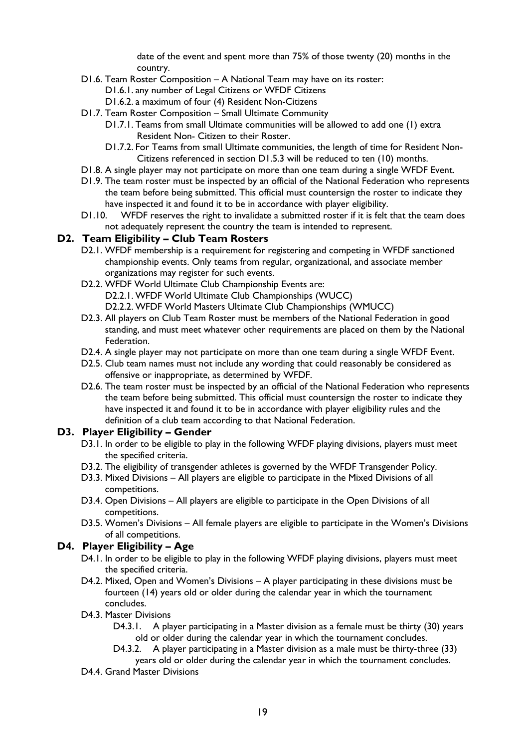date of the event and spent more than 75% of those twenty (20) months in the country.

- D1.6. Team Roster Composition A National Team may have on its roster:
	- D1.6.1. any number of Legal Citizens or WFDF Citizens
	- D1.6.2. a maximum of four (4) Resident Non-Citizens
- D1.7. Team Roster Composition Small Ultimate Community
	- D1.7.1. Teams from small Ultimate communities will be allowed to add one (1) extra Resident Non- Citizen to their Roster.
	- D1.7.2. For Teams from small Ultimate communities, the length of time for Resident Non-Citizens referenced in section D1.5.3 will be reduced to ten (10) months.
- D1.8. A single player may not participate on more than one team during a single WFDF Event.
- D1.9. The team roster must be inspected by an official of the National Federation who represents the team before being submitted. This official must countersign the roster to indicate they have inspected it and found it to be in accordance with player eligibility.
- D1.10. WFDF reserves the right to invalidate a submitted roster if it is felt that the team does not adequately represent the country the team is intended to represent.

### **D2. Team Eligibility – Club Team Rosters**

- D2.1. WFDF membership is a requirement for registering and competing in WFDF sanctioned championship events. Only teams from regular, organizational, and associate member organizations may register for such events.
- D2.2. WFDF World Ultimate Club Championship Events are: D2.2.1. WFDF World Ultimate Club Championships (WUCC) D2.2.2. WFDF World Masters Ultimate Club Championships (WMUCC)
- D2.3. All players on Club Team Roster must be members of the National Federation in good standing, and must meet whatever other requirements are placed on them by the National Federation.
- D2.4. A single player may not participate on more than one team during a single WFDF Event.
- D2.5. Club team names must not include any wording that could reasonably be considered as offensive or inappropriate, as determined by WFDF.
- D2.6. The team roster must be inspected by an official of the National Federation who represents the team before being submitted. This official must countersign the roster to indicate they have inspected it and found it to be in accordance with player eligibility rules and the definition of a club team according to that National Federation.

### **D3. Player Eligibility – Gender**

- D3.1. In order to be eligible to play in the following WFDF playing divisions, players must meet the specified criteria.
- D3.2. The eligibility of transgender athletes is governed by the WFDF Transgender Policy.
- D3.3. Mixed Divisions All players are eligible to participate in the Mixed Divisions of all competitions.
- D3.4. Open Divisions All players are eligible to participate in the Open Divisions of all competitions.
- D3.5. Women's Divisions All female players are eligible to participate in the Women's Divisions of all competitions.

### **D4. Player Eligibility – Age**

- D4.1. In order to be eligible to play in the following WFDF playing divisions, players must meet the specified criteria.
- D4.2. Mixed, Open and Women's Divisions A player participating in these divisions must be fourteen (14) years old or older during the calendar year in which the tournament concludes.
- D4.3. Master Divisions
	- D4.3.1. A player participating in a Master division as a female must be thirty (30) years old or older during the calendar year in which the tournament concludes.
	- D4.3.2. A player participating in a Master division as a male must be thirty-three (33) years old or older during the calendar year in which the tournament concludes.
- D4.4. Grand Master Divisions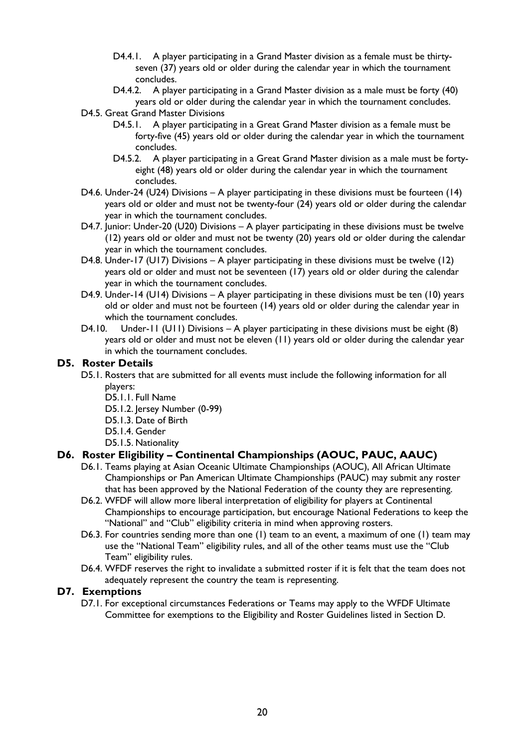- D4.4.1. A player participating in a Grand Master division as a female must be thirtyseven (37) years old or older during the calendar year in which the tournament concludes.
- D4.4.2. A player participating in a Grand Master division as a male must be forty (40) years old or older during the calendar year in which the tournament concludes.
- D4.5. Great Grand Master Divisions
	- D4.5.1. A player participating in a Great Grand Master division as a female must be forty-five (45) years old or older during the calendar year in which the tournament concludes.
	- D4.5.2. A player participating in a Great Grand Master division as a male must be fortyeight (48) years old or older during the calendar year in which the tournament concludes.
- D4.6. Under-24 (U24) Divisions A player participating in these divisions must be fourteen (14) years old or older and must not be twenty-four (24) years old or older during the calendar year in which the tournament concludes.
- D4.7. Junior: Under-20 (U20) Divisions A player participating in these divisions must be twelve (12) years old or older and must not be twenty (20) years old or older during the calendar year in which the tournament concludes.
- D4.8. Under-17 (U17) Divisions A player participating in these divisions must be twelve (12) years old or older and must not be seventeen (17) years old or older during the calendar year in which the tournament concludes.
- D4.9. Under-14 (U14) Divisions A player participating in these divisions must be ten (10) years old or older and must not be fourteen (14) years old or older during the calendar year in which the tournament concludes.
- D4.10. Under-11 (U11) Divisions A player participating in these divisions must be eight (8) years old or older and must not be eleven (11) years old or older during the calendar year in which the tournament concludes.

### **D5. Roster Details**

- D5.1. Rosters that are submitted for all events must include the following information for all players:
	- D5.1.1. Full Name
	- D5.1.2. Jersey Number (0-99)
	- D5.1.3. Date of Birth
	- D5.1.4. Gender
	- D5.1.5. Nationality

### **D6. Roster Eligibility – Continental Championships (AOUC, PAUC, AAUC)**

- D6.1. Teams playing at Asian Oceanic Ultimate Championships (AOUC), All African Ultimate Championships or Pan American Ultimate Championships (PAUC) may submit any roster that has been approved by the National Federation of the county they are representing.
- D6.2. WFDF will allow more liberal interpretation of eligibility for players at Continental Championships to encourage participation, but encourage National Federations to keep the "National" and "Club" eligibility criteria in mind when approving rosters.
- D6.3. For countries sending more than one (1) team to an event, a maximum of one (1) team may use the "National Team" eligibility rules, and all of the other teams must use the "Club Team" eligibility rules.
- D6.4. WFDF reserves the right to invalidate a submitted roster if it is felt that the team does not adequately represent the country the team is representing.

### **D7. Exemptions**

D7.1. For exceptional circumstances Federations or Teams may apply to the WFDF Ultimate Committee for exemptions to the Eligibility and Roster Guidelines listed in Section D.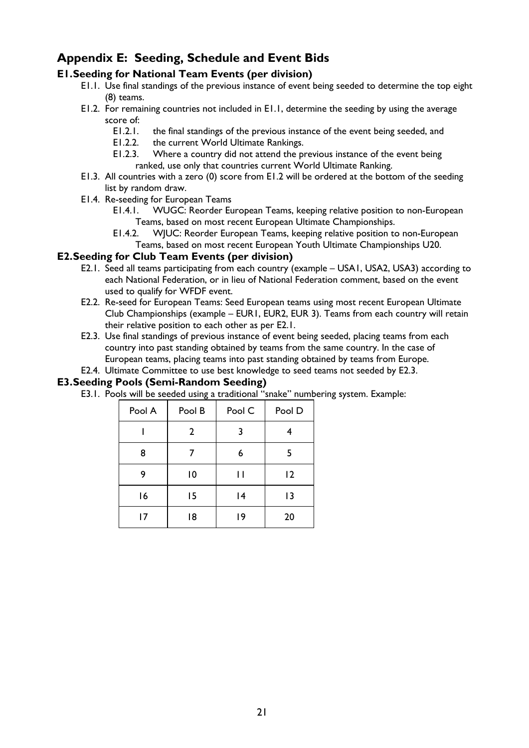# **Appendix E: Seeding, Schedule and Event Bids**

### **E1.Seeding for National Team Events (per division)**

- E1.1. Use final standings of the previous instance of event being seeded to determine the top eight (8) teams.
- E1.2. For remaining countries not included in E1.1, determine the seeding by using the average score of:
	- E1.2.1. the final standings of the previous instance of the event being seeded, and
	- E1.2.2. the current World Ultimate Rankings.
	- E1.2.3. Where a country did not attend the previous instance of the event being ranked, use only that countries current World Ultimate Ranking.
- E1.3. All countries with a zero (0) score from E1.2 will be ordered at the bottom of the seeding list by random draw.
- E1.4. Re-seeding for European Teams
	- E1.4.1. WUGC: Reorder European Teams, keeping relative position to non-European Teams, based on most recent European Ultimate Championships.
	- E1.4.2. WJUC: Reorder European Teams, keeping relative position to non-European Teams, based on most recent European Youth Ultimate Championships U20.

### **E2.Seeding for Club Team Events (per division)**

- E2.1. Seed all teams participating from each country (example USA1, USA2, USA3) according to each National Federation, or in lieu of National Federation comment, based on the event used to qualify for WFDF event.
- E2.2. Re-seed for European Teams: Seed European teams using most recent European Ultimate Club Championships (example – EUR1, EUR2, EUR 3). Teams from each country will retain their relative position to each other as per E2.1.
- E2.3. Use final standings of previous instance of event being seeded, placing teams from each country into past standing obtained by teams from the same country. In the case of European teams, placing teams into past standing obtained by teams from Europe.
- E2.4. Ultimate Committee to use best knowledge to seed teams not seeded by E2.3.

### **E3.Seeding Pools (Semi-Random Seeding)**

E3.1. Pools will be seeded using a traditional "snake" numbering system. Example:

| Pool A | Pool B | Pool C | Pool D |
|--------|--------|--------|--------|
|        | 2      | 3      |        |
| 8      | 7      | 6      | 5      |
| 9      | 10     | П      | 2      |
| 16     | 15     | 4      | 13     |
| 17     | 18     | 19     | 20     |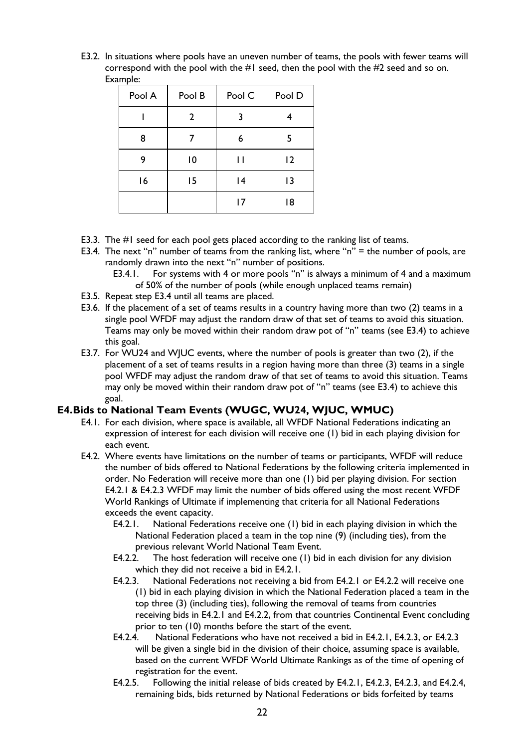E3.2. In situations where pools have an uneven number of teams, the pools with fewer teams will correspond with the pool with the #1 seed, then the pool with the #2 seed and so on. Example:

| Pool A | Pool B         | Pool C | Pool D |
|--------|----------------|--------|--------|
|        | 2              | 3      |        |
| 8      |                | 6      |        |
| 9      | $\overline{0}$ | П      | 12     |
| 16     | 15             | 4      | 13     |
|        |                | 17     | 18     |

- E3.3. The #1 seed for each pool gets placed according to the ranking list of teams.
- E3.4. The next "n" number of teams from the ranking list, where "n" = the number of pools, are randomly drawn into the next "n" number of positions.
	- E3.4.1. For systems with 4 or more pools "n" is always a minimum of 4 and a maximum of 50% of the number of pools (while enough unplaced teams remain)
- E3.5. Repeat step E3.4 until all teams are placed.
- E3.6. If the placement of a set of teams results in a country having more than two (2) teams in a single pool WFDF may adjust the random draw of that set of teams to avoid this situation. Teams may only be moved within their random draw pot of "n" teams (see E3.4) to achieve this goal.
- E3.7. For WU24 and WJUC events, where the number of pools is greater than two (2), if the placement of a set of teams results in a region having more than three (3) teams in a single pool WFDF may adjust the random draw of that set of teams to avoid this situation. Teams may only be moved within their random draw pot of "n" teams (see E3.4) to achieve this goal.

### **E4.Bids to National Team Events (WUGC, WU24, WJUC, WMUC)**

- E4.1. For each division, where space is available, all WFDF National Federations indicating an expression of interest for each division will receive one (1) bid in each playing division for each event.
- E4.2. Where events have limitations on the number of teams or participants, WFDF will reduce the number of bids offered to National Federations by the following criteria implemented in order. No Federation will receive more than one (1) bid per playing division. For section E4.2.1 & E4.2.3 WFDF may limit the number of bids offered using the most recent WFDF World Rankings of Ultimate if implementing that criteria for all National Federations exceeds the event capacity.
	- E4.2.1. National Federations receive one (1) bid in each playing division in which the National Federation placed a team in the top nine (9) (including ties), from the previous relevant World National Team Event.
	- E4.2.2. The host federation will receive one (1) bid in each division for any division which they did not receive a bid in E4.2.1.
	- E4.2.3. National Federations not receiving a bid from E4.2.1 or E4.2.2 will receive one (1) bid in each playing division in which the National Federation placed a team in the top three (3) (including ties), following the removal of teams from countries receiving bids in E4.2.1 and E4.2.2, from that countries Continental Event concluding prior to ten (10) months before the start of the event.
	- E4.2.4. National Federations who have not received a bid in E4.2.1, E4.2.3, or E4.2.3 will be given a single bid in the division of their choice, assuming space is available, based on the current WFDF World Ultimate Rankings as of the time of opening of registration for the event.
	- E4.2.5. Following the initial release of bids created by E4.2.1, E4.2.3, E4.2.3, and E4.2.4, remaining bids, bids returned by National Federations or bids forfeited by teams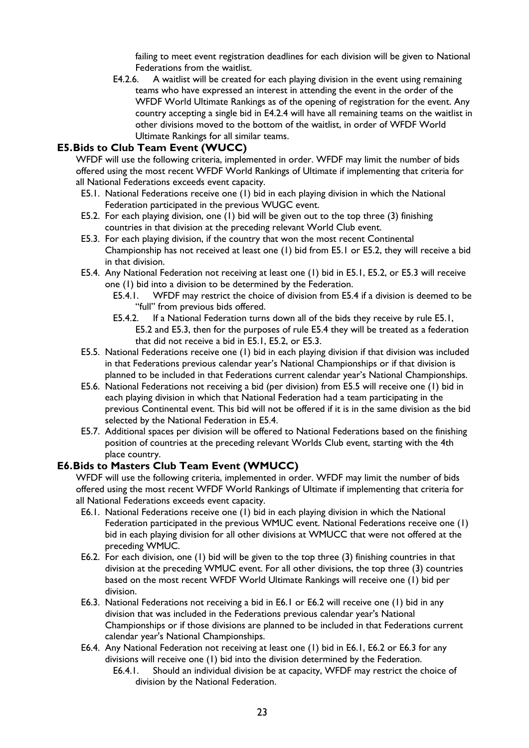failing to meet event registration deadlines for each division will be given to National Federations from the waitlist.

E4.2.6. A waitlist will be created for each playing division in the event using remaining teams who have expressed an interest in attending the event in the order of the WFDF World Ultimate Rankings as of the opening of registration for the event. Any country accepting a single bid in E4.2.4 will have all remaining teams on the waitlist in other divisions moved to the bottom of the waitlist, in order of WFDF World Ultimate Rankings for all similar teams.

### **E5.Bids to Club Team Event (WUCC)**

WFDF will use the following criteria, implemented in order. WFDF may limit the number of bids offered using the most recent WFDF World Rankings of Ultimate if implementing that criteria for all National Federations exceeds event capacity.

- E5.1. National Federations receive one (1) bid in each playing division in which the National Federation participated in the previous WUGC event.
- E5.2. For each playing division, one (1) bid will be given out to the top three (3) finishing countries in that division at the preceding relevant World Club event.
- E5.3. For each playing division, if the country that won the most recent Continental Championship has not received at least one (1) bid from E5.1 or E5.2, they will receive a bid in that division.
- E5.4. Any National Federation not receiving at least one (1) bid in E5.1, E5.2, or E5.3 will receive one (1) bid into a division to be determined by the Federation.
	- E5.4.1. WFDF may restrict the choice of division from E5.4 if a division is deemed to be "full" from previous bids offered.
	- E5.4.2. If a National Federation turns down all of the bids they receive by rule E5.1, E5.2 and E5.3, then for the purposes of rule E5.4 they will be treated as a federation that did not receive a bid in E5.1, E5.2, or E5.3.
- E5.5. National Federations receive one (1) bid in each playing division if that division was included in that Federations previous calendar year's National Championships or if that division is planned to be included in that Federations current calendar year's National Championships.
- E5.6. National Federations not receiving a bid (per division) from E5.5 will receive one (1) bid in each playing division in which that National Federation had a team participating in the previous Continental event. This bid will not be offered if it is in the same division as the bid selected by the National Federation in E5.4.
- E5.7. Additional spaces per division will be offered to National Federations based on the finishing position of countries at the preceding relevant Worlds Club event, starting with the 4th place country.

### **E6.Bids to Masters Club Team Event (WMUCC)**

WFDF will use the following criteria, implemented in order. WFDF may limit the number of bids offered using the most recent WFDF World Rankings of Ultimate if implementing that criteria for all National Federations exceeds event capacity.

- E6.1. National Federations receive one (1) bid in each playing division in which the National Federation participated in the previous WMUC event. National Federations receive one (1) bid in each playing division for all other divisions at WMUCC that were not offered at the preceding WMUC.
- E6.2. For each division, one (1) bid will be given to the top three (3) finishing countries in that division at the preceding WMUC event. For all other divisions, the top three (3) countries based on the most recent WFDF World Ultimate Rankings will receive one (1) bid per division.
- E6.3. National Federations not receiving a bid in E6.1 or E6.2 will receive one (1) bid in any division that was included in the Federations previous calendar year's National Championships or if those divisions are planned to be included in that Federations current calendar year's National Championships.
- E6.4. Any National Federation not receiving at least one (1) bid in E6.1, E6.2 or E6.3 for any divisions will receive one (1) bid into the division determined by the Federation.
	- E6.4.1. Should an individual division be at capacity, WFDF may restrict the choice of division by the National Federation.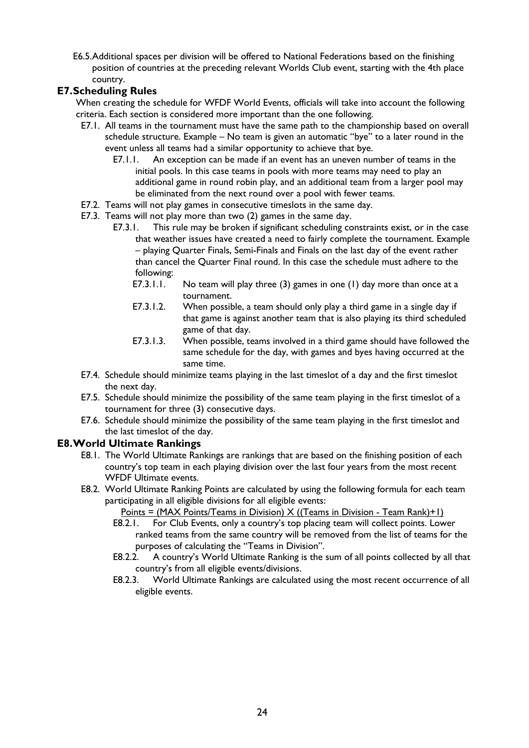E6.5.Additional spaces per division will be offered to National Federations based on the finishing position of countries at the preceding relevant Worlds Club event, starting with the 4th place country.

### **E7.Scheduling Rules**

- When creating the schedule for WFDF World Events, officials will take into account the following criteria. Each section is considered more important than the one following.
	- E7.1. All teams in the tournament must have the same path to the championship based on overall schedule structure. Example – No team is given an automatic "bye" to a later round in the event unless all teams had a similar opportunity to achieve that bye.
		- E7.1.1. An exception can be made if an event has an uneven number of teams in the initial pools. In this case teams in pools with more teams may need to play an additional game in round robin play, and an additional team from a larger pool may be eliminated from the next round over a pool with fewer teams.
	- E7.2. Teams will not play games in consecutive timeslots in the same day.
	- E7.3. Teams will not play more than two (2) games in the same day.
		- E7.3.1. This rule may be broken if significant scheduling constraints exist, or in the case that weather issues have created a need to fairly complete the tournament. Example – playing Quarter Finals, Semi-Finals and Finals on the last day of the event rather than cancel the Quarter Final round. In this case the schedule must adhere to the following:
			- E7.3.1.1. No team will play three (3) games in one (1) day more than once at a tournament.
			- E7.3.1.2. When possible, a team should only play a third game in a single day if that game is against another team that is also playing its third scheduled game of that day.
			- E7.3.1.3. When possible, teams involved in a third game should have followed the same schedule for the day, with games and byes having occurred at the same time.
	- E7.4. Schedule should minimize teams playing in the last timeslot of a day and the first timeslot the next day.
	- E7.5. Schedule should minimize the possibility of the same team playing in the first timeslot of a tournament for three (3) consecutive days.
	- E7.6. Schedule should minimize the possibility of the same team playing in the first timeslot and the last timeslot of the day.

### **E8.World Ultimate Rankings**

- E8.1. The World Ultimate Rankings are rankings that are based on the finishing position of each country's top team in each playing division over the last four years from the most recent WFDF Ultimate events.
- E8.2. World Ultimate Ranking Points are calculated by using the following formula for each team participating in all eligible divisions for all eligible events:
	- Points = (MAX Points/Teams in Division)  $X$  ((Teams in Division Team Rank)+1)
	- E8.2.1. For Club Events, only a country's top placing team will collect points. Lower ranked teams from the same country will be removed from the list of teams for the purposes of calculating the "Teams in Division".
	- E8.2.2. A country's World Ultimate Ranking is the sum of all points collected by all that country's from all eligible events/divisions.
	- E8.2.3. World Ultimate Rankings are calculated using the most recent occurrence of all eligible events.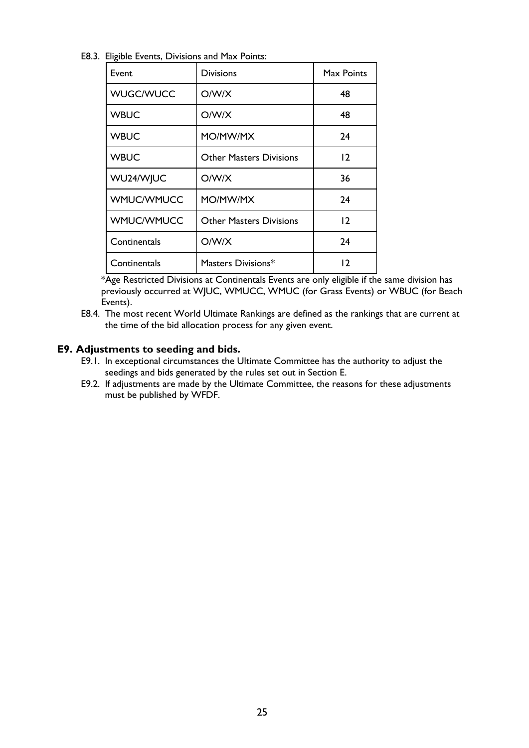E8.3. Eligible Events, Divisions and Max Points:

| Event             | Divisions                      | Max Points |
|-------------------|--------------------------------|------------|
| <b>WUGC/WUCC</b>  | O/W/X                          | 48         |
| <b>WBUC</b>       | O/W/X                          | 48         |
| <b>WBUC</b>       | MO/MW/MX                       | 24         |
| <b>WBUC</b>       | <b>Other Masters Divisions</b> | 12         |
| WU24/WJUC         | O/W/X                          | 36         |
| <b>WMUC/WMUCC</b> | MO/MW/MX                       | 24         |
| <b>WMUC/WMUCC</b> | <b>Other Masters Divisions</b> | 12         |
| Continentals      | O/W/X                          | 24         |
| Continentals      | Masters Divisions*             | 12         |

\*Age Restricted Divisions at Continentals Events are only eligible if the same division has previously occurred at WJUC, WMUCC, WMUC (for Grass Events) or WBUC (for Beach Events).

E8.4. The most recent World Ultimate Rankings are defined as the rankings that are current at the time of the bid allocation process for any given event.

### **E9. Adjustments to seeding and bids.**

- E9.1. In exceptional circumstances the Ultimate Committee has the authority to adjust the seedings and bids generated by the rules set out in Section E.
- E9.2. If adjustments are made by the Ultimate Committee, the reasons for these adjustments must be published by WFDF.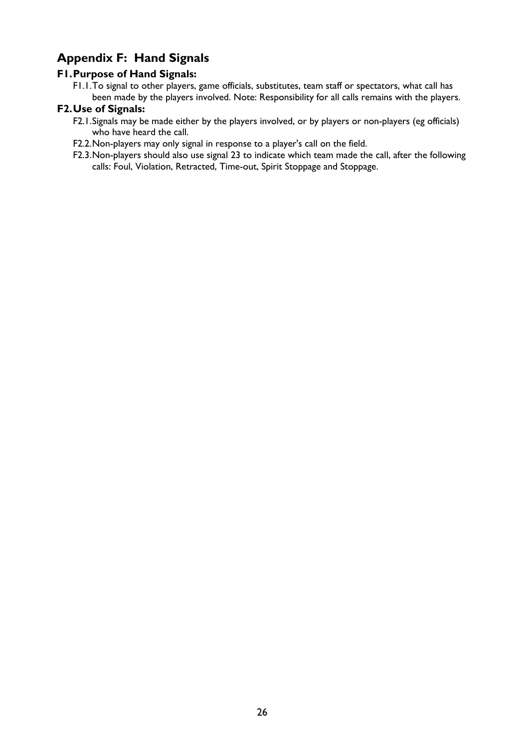# **Appendix F: Hand Signals**

### **F1.Purpose of Hand Signals:**

F1.1.To signal to other players, game officials, substitutes, team staff or spectators, what call has been made by the players involved. Note: Responsibility for all calls remains with the players.

### **F2.Use of Signals:**

- F2.1.Signals may be made either by the players involved, or by players or non-players (eg officials) who have heard the call.
- F2.2.Non-players may only signal in response to a player's call on the field.
- F2.3.Non-players should also use signal 23 to indicate which team made the call, after the following calls: Foul, Violation, Retracted, Time-out, Spirit Stoppage and Stoppage.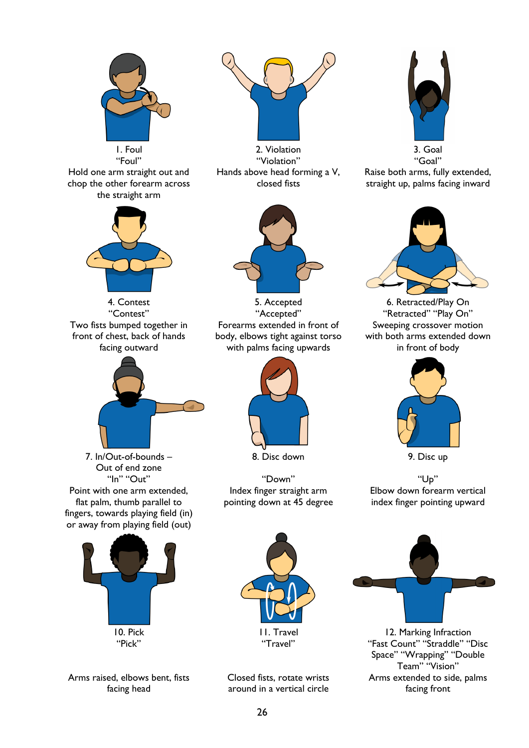

Arms raised, elbows bent, fists facing head



1. Foul 2. Violation 3. Goal "Violation" Hands above head forming a V, closed fists



4. Contest **5. Accepted** 6. Retracted/Play On "Contest" "Accepted" "Retracted" "Play On" Forearms extended in front of body, elbows tight against torso with palms facing upwards



8. Disc down 9. Disc up

Index finger straight arm pointing down at 45 degree



Raise both arms, fully extended, straight up, palms facing inward



Sweeping crossover motion with both arms extended down in front of body



Elbow down forearm vertical index finger pointing upward



Closed fists, rotate wrists around in a vertical circle



"Pick" "Travel" "Fast Count" "Straddle" "Disc Space" "Wrapping" "Double Team" "Vision" Arms extended to side, palms facing front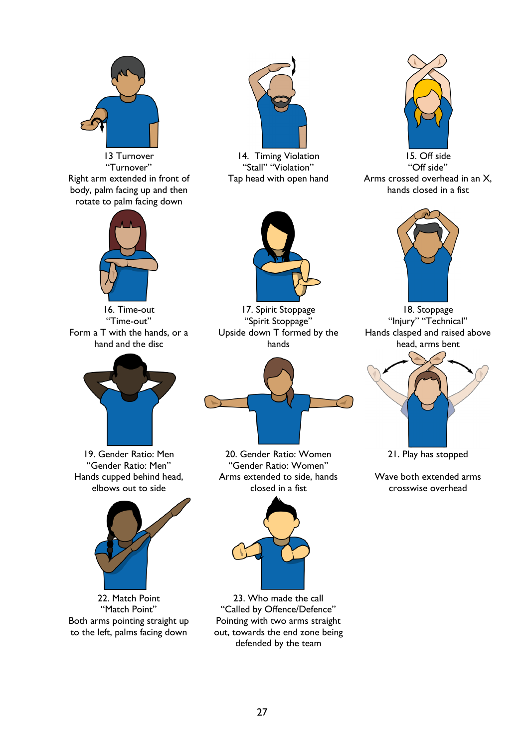

Right arm extended in front of body, palm facing up and then rotate to palm facing down



Form a T with the hands, or a hand and the disc



Hands cupped behind head, elbows out to side



Both arms pointing straight up to the left, palms facing down



13 Turnover 14. Timing Violation 15. Off side "Turnover" "Stall" "Violation" "Off side"



Tap head with open hand Arms crossed overhead in an X, hands closed in a fist



16. Time-out 17. Spirit Stoppage 18. Stoppage<br>
18. Stoppage 18. Stoppage 19. Stoppage 19. Stoppage 19. Stoppage 19. Stoppage 19. Stoppage 19. Stoppage 19. Stoppage 19. Stoppage 19. Stoppage 19. Stoppage 19. Stoppage 19. St Upside down T formed by the hands



19. Gender Ratio: Men 20. Gender Ratio: Women 21. Play has stopped "Gender Ratio: Men" "Gender Ratio: Women" Arms extended to side, hands closed in a fist



22. Match Point 23. Who made the call "Match Point" "Called by Offence/Defence" Pointing with two arms straight out, towards the end zone being defended by the team



"Spirit Stoppage" "Injury" "Technical" Hands clasped and raised above head, arms bent



Wave both extended arms crosswise overhead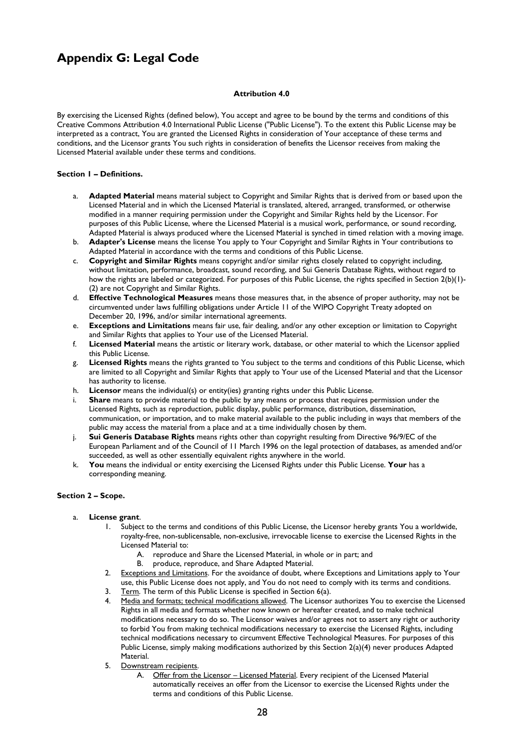# **Appendix G: Legal Code**

#### **Attribution 4.0**

By exercising the Licensed Rights (defined below), You accept and agree to be bound by the terms and conditions of this Creative Commons Attribution 4.0 International Public License ("Public License"). To the extent this Public License may be interpreted as a contract, You are granted the Licensed Rights in consideration of Your acceptance of these terms and conditions, and the Licensor grants You such rights in consideration of benefits the Licensor receives from making the Licensed Material available under these terms and conditions.

#### **Section 1 – Definitions.**

- a. **Adapted Material** means material subject to Copyright and Similar Rights that is derived from or based upon the Licensed Material and in which the Licensed Material is translated, altered, arranged, transformed, or otherwise modified in a manner requiring permission under the Copyright and Similar Rights held by the Licensor. For purposes of this Public License, where the Licensed Material is a musical work, performance, or sound recording, Adapted Material is always produced where the Licensed Material is synched in timed relation with a moving image.
- b. **Adapter's License** means the license You apply to Your Copyright and Similar Rights in Your contributions to Adapted Material in accordance with the terms and conditions of this Public License.
- c. **Copyright and Similar Rights** means copyright and/or similar rights closely related to copyright including, without limitation, performance, broadcast, sound recording, and Sui Generis Database Rights, without regard to how the rights are labeled or categorized. For purposes of this Public License, the rights specified in Section 2(b)(1)- (2) are not Copyright and Similar Rights.
- d. **Effective Technological Measures** means those measures that, in the absence of proper authority, may not be circumvented under laws fulfilling obligations under Article 11 of the WIPO Copyright Treaty adopted on December 20, 1996, and/or similar international agreements.
- e. **Exceptions and Limitations** means fair use, fair dealing, and/or any other exception or limitation to Copyright and Similar Rights that applies to Your use of the Licensed Material.
- f. **Licensed Material** means the artistic or literary work, database, or other material to which the Licensor applied this Public License.
- g. **Licensed Rights** means the rights granted to You subject to the terms and conditions of this Public License, which are limited to all Copyright and Similar Rights that apply to Your use of the Licensed Material and that the Licensor has authority to license.
- h. **Licensor** means the individual(s) or entity(ies) granting rights under this Public License.
- i. **Share** means to provide material to the public by any means or process that requires permission under the Licensed Rights, such as reproduction, public display, public performance, distribution, dissemination, communication, or importation, and to make material available to the public including in ways that members of the public may access the material from a place and at a time individually chosen by them.
- j. **Sui Generis Database Rights** means rights other than copyright resulting from Directive 96/9/EC of the European Parliament and of the Council of 11 March 1996 on the legal protection of databases, as amended and/or succeeded, as well as other essentially equivalent rights anywhere in the world.
- k. **You** means the individual or entity exercising the Licensed Rights under this Public License. **Your** has a corresponding meaning.

### **Section 2 – Scope.**

#### a. **License grant**.

- 1. Subject to the terms and conditions of this Public License, the Licensor hereby grants You a worldwide, royalty-free, non-sublicensable, non-exclusive, irrevocable license to exercise the Licensed Rights in the Licensed Material to:
	- A. reproduce and Share the Licensed Material, in whole or in part; and
	- B. produce, reproduce, and Share Adapted Material.
- 2. Exceptions and Limitations. For the avoidance of doubt, where Exceptions and Limitations apply to Your use, this Public License does not apply, and You do not need to comply with its terms and conditions.
- 3. Term. The term of this Public License is specified in Section 6(a).
- 4. Media and formats; technical modifications allowed. The Licensor authorizes You to exercise the Licensed Rights in all media and formats whether now known or hereafter created, and to make technical modifications necessary to do so. The Licensor waives and/or agrees not to assert any right or authority to forbid You from making technical modifications necessary to exercise the Licensed Rights, including technical modifications necessary to circumvent Effective Technological Measures. For purposes of this Public License, simply making modifications authorized by this Section 2(a)(4) never produces Adapted Material.
- 5. Downstream recipients.
	- A. Offer from the Licensor Licensed Material. Every recipient of the Licensed Material automatically receives an offer from the Licensor to exercise the Licensed Rights under the terms and conditions of this Public License.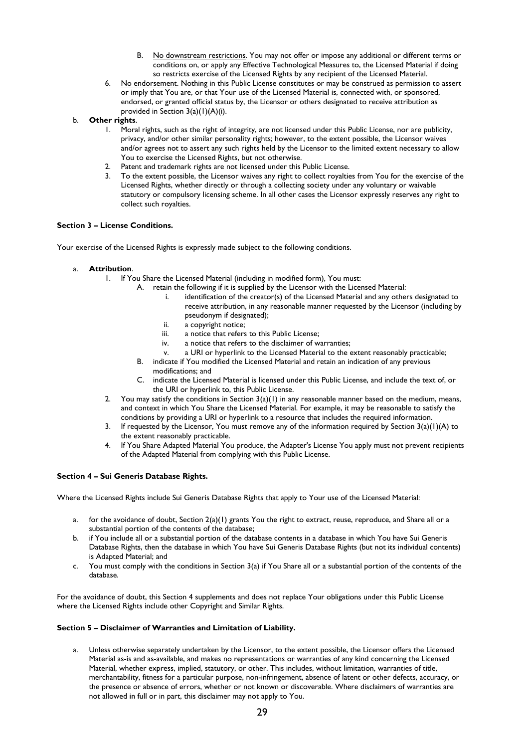- B. No downstream restrictions. You may not offer or impose any additional or different terms or conditions on, or apply any Effective Technological Measures to, the Licensed Material if doing so restricts exercise of the Licensed Rights by any recipient of the Licensed Material.
- 6. No endorsement. Nothing in this Public License constitutes or may be construed as permission to assert or imply that You are, or that Your use of the Licensed Material is, connected with, or sponsored, endorsed, or granted official status by, the Licensor or others designated to receive attribution as provided in Section 3(a)(1)(A)(i).
- b. **Other rights**.
	- 1. Moral rights, such as the right of integrity, are not licensed under this Public License, nor are publicity, privacy, and/or other similar personality rights; however, to the extent possible, the Licensor waives and/or agrees not to assert any such rights held by the Licensor to the limited extent necessary to allow You to exercise the Licensed Rights, but not otherwise.
	- 2. Patent and trademark rights are not licensed under this Public License.
	- 3. To the extent possible, the Licensor waives any right to collect royalties from You for the exercise of the Licensed Rights, whether directly or through a collecting society under any voluntary or waivable statutory or compulsory licensing scheme. In all other cases the Licensor expressly reserves any right to collect such royalties.

#### **Section 3 – License Conditions.**

Your exercise of the Licensed Rights is expressly made subject to the following conditions.

- a. **Attribution**.
	- 1. If You Share the Licensed Material (including in modified form), You must:
		- A. retain the following if it is supplied by the Licensor with the Licensed Material:
			- i. identification of the creator(s) of the Licensed Material and any others designated to receive attribution, in any reasonable manner requested by the Licensor (including by pseudonym if designated);
			- ii. a copyright notice;
			- iii. a notice that refers to this Public License;
			- iv. a notice that refers to the disclaimer of warranties;
			- v. a URI or hyperlink to the Licensed Material to the extent reasonably practicable;
		- B. indicate if You modified the Licensed Material and retain an indication of any previous modifications; and
		- C. indicate the Licensed Material is licensed under this Public License, and include the text of, or the URI or hyperlink to, this Public License.
		- 2. You may satisfy the conditions in Section  $3(a)(1)$  in any reasonable manner based on the medium, means, and context in which You Share the Licensed Material. For example, it may be reasonable to satisfy the conditions by providing a URI or hyperlink to a resource that includes the required information.
	- 3. If requested by the Licensor, You must remove any of the information required by Section  $3(a)(1)(A)$  to the extent reasonably practicable.
	- 4. If You Share Adapted Material You produce, the Adapter's License You apply must not prevent recipients of the Adapted Material from complying with this Public License.

#### **Section 4 – Sui Generis Database Rights.**

Where the Licensed Rights include Sui Generis Database Rights that apply to Your use of the Licensed Material:

- a. for the avoidance of doubt, Section 2(a)(1) grants You the right to extract, reuse, reproduce, and Share all or a substantial portion of the contents of the database;
- b. if You include all or a substantial portion of the database contents in a database in which You have Sui Generis Database Rights, then the database in which You have Sui Generis Database Rights (but not its individual contents) is Adapted Material; and
- c. You must comply with the conditions in Section 3(a) if You Share all or a substantial portion of the contents of the database.

For the avoidance of doubt, this Section 4 supplements and does not replace Your obligations under this Public License where the Licensed Rights include other Copyright and Similar Rights.

#### **Section 5 – Disclaimer of Warranties and Limitation of Liability.**

a. Unless otherwise separately undertaken by the Licensor, to the extent possible, the Licensor offers the Licensed Material as-is and as-available, and makes no representations or warranties of any kind concerning the Licensed Material, whether express, implied, statutory, or other. This includes, without limitation, warranties of title, merchantability, fitness for a particular purpose, non-infringement, absence of latent or other defects, accuracy, or the presence or absence of errors, whether or not known or discoverable. Where disclaimers of warranties are not allowed in full or in part, this disclaimer may not apply to You.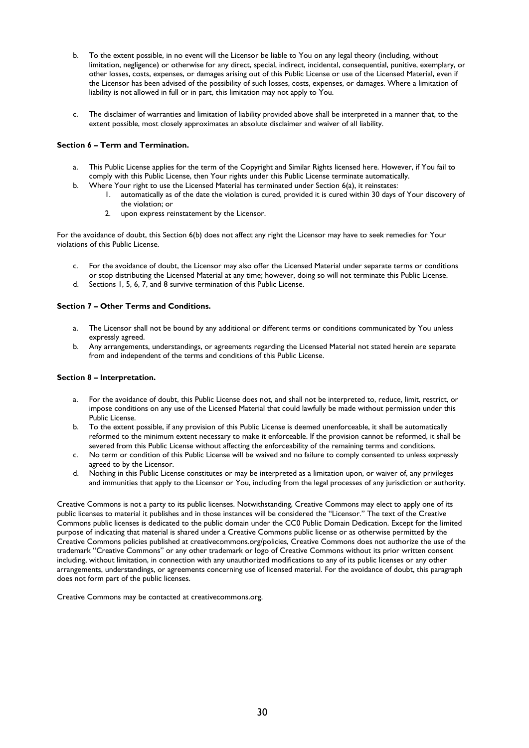- b. To the extent possible, in no event will the Licensor be liable to You on any legal theory (including, without limitation, negligence) or otherwise for any direct, special, indirect, incidental, consequential, punitive, exemplary, or other losses, costs, expenses, or damages arising out of this Public License or use of the Licensed Material, even if the Licensor has been advised of the possibility of such losses, costs, expenses, or damages. Where a limitation of liability is not allowed in full or in part, this limitation may not apply to You.
- c. The disclaimer of warranties and limitation of liability provided above shall be interpreted in a manner that, to the extent possible, most closely approximates an absolute disclaimer and waiver of all liability.

#### **Section 6 – Term and Termination.**

- a. This Public License applies for the term of the Copyright and Similar Rights licensed here. However, if You fail to comply with this Public License, then Your rights under this Public License terminate automatically.
- b. Where Your right to use the Licensed Material has terminated under Section 6(a), it reinstates:
	- 1. automatically as of the date the violation is cured, provided it is cured within 30 days of Your discovery of the violation; or
		- 2. upon express reinstatement by the Licensor.

For the avoidance of doubt, this Section 6(b) does not affect any right the Licensor may have to seek remedies for Your violations of this Public License.

- c. For the avoidance of doubt, the Licensor may also offer the Licensed Material under separate terms or conditions or stop distributing the Licensed Material at any time; however, doing so will not terminate this Public License.
- d. Sections 1, 5, 6, 7, and 8 survive termination of this Public License.

#### **Section 7 – Other Terms and Conditions.**

- a. The Licensor shall not be bound by any additional or different terms or conditions communicated by You unless expressly agreed.
- b. Any arrangements, understandings, or agreements regarding the Licensed Material not stated herein are separate from and independent of the terms and conditions of this Public License.

#### **Section 8 – Interpretation.**

- a. For the avoidance of doubt, this Public License does not, and shall not be interpreted to, reduce, limit, restrict, or impose conditions on any use of the Licensed Material that could lawfully be made without permission under this Public License.
- b. To the extent possible, if any provision of this Public License is deemed unenforceable, it shall be automatically reformed to the minimum extent necessary to make it enforceable. If the provision cannot be reformed, it shall be severed from this Public License without affecting the enforceability of the remaining terms and conditions.
- c. No term or condition of this Public License will be waived and no failure to comply consented to unless expressly agreed to by the Licensor.
- d. Nothing in this Public License constitutes or may be interpreted as a limitation upon, or waiver of, any privileges and immunities that apply to the Licensor or You, including from the legal processes of any jurisdiction or authority.

Creative Commons is not a party to its public licenses. Notwithstanding, Creative Commons may elect to apply one of its public licenses to material it publishes and in those instances will be considered the "Licensor." The text of the Creative Commons public licenses is dedicated to the public domain under the CC0 Public Domain Dedication. Except for the limited purpose of indicating that material is shared under a Creative Commons public license or as otherwise permitted by the Creative Commons policies published at creativecommons.org/policies, Creative Commons does not authorize the use of the trademark "Creative Commons" or any other trademark or logo of Creative Commons without its prior written consent including, without limitation, in connection with any unauthorized modifications to any of its public licenses or any other arrangements, understandings, or agreements concerning use of licensed material. For the avoidance of doubt, this paragraph does not form part of the public licenses.

Creative Commons may be contacted at creativecommons.org.